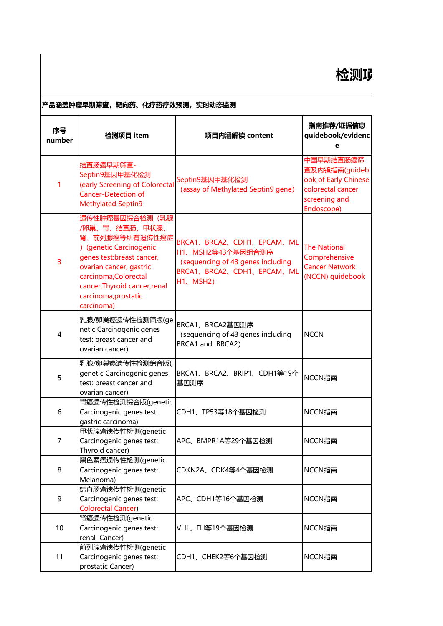## |<br>|产品涵盖肿瘤早期筛查,靶向药、化疗药疗效预测,实时动态监测

| 序号<br>number   | 检测项目 item                                                                                                                                                                                                                             | 项目内涵解读 content                                                                                                               | 指南推荐/证据信息<br>guidebook/evidenc<br>e                                                                    |
|----------------|---------------------------------------------------------------------------------------------------------------------------------------------------------------------------------------------------------------------------------------|------------------------------------------------------------------------------------------------------------------------------|--------------------------------------------------------------------------------------------------------|
| 1              | 结直肠癌早期筛查-<br>Septin9基因甲基化检测<br>(early Screening of Colorectal<br><b>Cancer-Detection of</b><br><b>Methylated Septin9</b>                                                                                                              | Septin9基因甲基化检测<br>(assay of Methylated Septin9 gene)                                                                         | 中国早期结直肠癌筛<br>查及内镜指南(guideb<br>ook of Early Chinese<br>colorectal cancer<br>screening and<br>Endoscope) |
| 3              | 遗传性肿瘤基因综合检测(乳腺<br>/卵巢、胃、结直肠、甲状腺、<br>肾、前列腺癌等所有遗传性癌症<br>) (genetic Carcinogenic<br>genes test:breast cancer,<br>ovarian cancer, gastric<br>carcinoma, Colorectal<br>cancer, Thyroid cancer, renal<br>carcinoma, prostatic<br>carcinoma) | BRCA1、BRCA2、CDH1、EPCAM、ML<br>H1、MSH2等43个基因组合测序<br>(sequencing of 43 genes including<br>BRCA1、BRCA2、CDH1、EPCAM、ML<br>H1、MSH2) | <b>The National</b><br>Comprehensive<br><b>Cancer Network</b><br>(NCCN) guidebook                      |
| $\overline{A}$ | 乳腺/卵巢癌遗传性检测简版(ge<br>netic Carcinogenic genes<br>test: breast cancer and<br>ovarian cancer)                                                                                                                                            | BRCA1、BRCA2基因测序<br>(sequencing of 43 genes including<br>BRCA1 and BRCA2)                                                     | <b>NCCN</b>                                                                                            |
| 5              | 乳腺/卵巢癌遗传性检测综合版(<br>genetic Carcinogenic genes<br>test: breast cancer and<br>ovarian cancer)                                                                                                                                           | BRCA1、BRCA2、BRIP1、CDH1等19个<br>基因测序                                                                                           | NCCN指南                                                                                                 |
| 6              | 胃癌遗传性检测综合版(genetic<br>Carcinogenic genes test:<br>gastric carcinoma)                                                                                                                                                                  | CDH1、TP53等18个基因检测                                                                                                            | NCCN指南                                                                                                 |
| 7              | 甲状腺癌遗传性检测(genetic<br>Carcinogenic genes test:<br>Thyroid cancer)                                                                                                                                                                      | APC、BMPR1A等29个基因检测                                                                                                           | NCCN指南                                                                                                 |
| 8              | 黑色素瘤遗传性检测(genetic<br>Carcinogenic genes test:<br>Melanoma)                                                                                                                                                                            | CDKN2A、CDK4等4个基因检测                                                                                                           | NCCN指南                                                                                                 |
| 9              | 结直肠癌遗传性检测(genetic<br>Carcinogenic genes test:<br><b>Colorectal Cancer)</b>                                                                                                                                                            | APC、CDH1等16个基因检测                                                                                                             | NCCN指南                                                                                                 |
| 10             | 肾癌遗传性检测(genetic<br>Carcinogenic genes test:<br>renal Cancer)                                                                                                                                                                          | VHL、FH等19个基因检测                                                                                                               | NCCN指南                                                                                                 |
| 11             | 前列腺癌遗传性检测(genetic<br>Carcinogenic genes test:<br>prostatic Cancer)                                                                                                                                                                    | CDH1、CHEK2等6个基因检测                                                                                                            | NCCN指南                                                                                                 |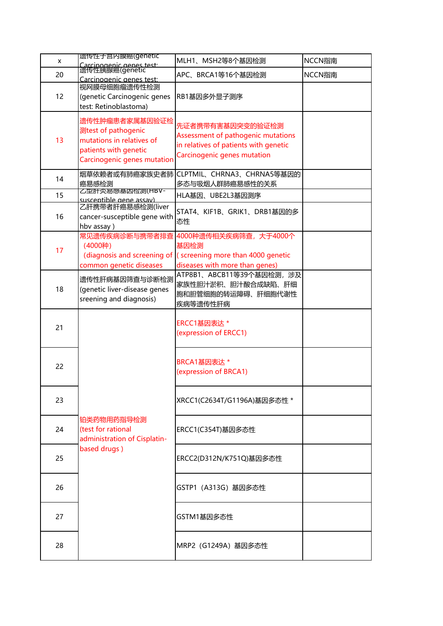| X  | 遗传性于宫内膜癌(genetic                                                                                                           | MLH1、MSH2等8个基因检测                                                                                                               | NCCN指南 |
|----|----------------------------------------------------------------------------------------------------------------------------|--------------------------------------------------------------------------------------------------------------------------------|--------|
| 20 | Carcinogenic genes test:<br>遗传性胰腺癌(genetic<br>Carcinogenic genes test:                                                     | APC、BRCA1等16个基因检测                                                                                                              | NCCN指南 |
| 12 | 视网膜母细胞瘤遗传性检测<br>(genetic Carcinogenic genes<br>test: Retinoblastoma)                                                       | RB1基因多外显子测序                                                                                                                    |        |
| 13 | 遗传性肿瘤患者家属基因验证检<br>测test of pathogenic<br>mutations in relatives of<br>patients with genetic<br>Carcinogenic genes mutation | 先证者携带有害基因突变的验证检测<br>Assessment of pathogenic mutations<br>in relatives of patients with genetic<br>Carcinogenic genes mutation |        |
| 14 | 烟草依赖者或有肺癌家族史者肺<br>癌易感检测                                                                                                    | CLPTMIL、CHRNA3、CHRNA5等基因的<br>多态与吸烟人群肺癌易感性的关系                                                                                   |        |
| 15 | 乙罕肝灾易感基因恼测(HBV-<br>susceptible gene assay)                                                                                 | HLA基因、UBE2L3基因测序                                                                                                               |        |
| 16 | 乙肝携带者肝癌易感检测(liver<br>cancer-susceptible gene with<br>hbv assay)                                                            | STAT4、KIF1B、GRIK1、DRB1基因的多<br>态性                                                                                               |        |
| 17 | 常见遗传疾病诊断与携带者排查<br>(4000种)<br>(diagnosis and screening of<br>common genetic diseases                                        | 4000种遗传相关疾病筛查, 大于4000个<br>基因检测<br>(screening more than 4000 genetic<br>diseases with more than genes)                          |        |
| 18 | 遗传性肝病基因筛查与诊断检测<br>(genetic liver-disease genes<br>sreening and diagnosis)                                                  | ATP8B1、ABCB11等39个基因检测, 涉及<br>家族性胆汁淤积、胆汁酸合成缺陷、肝细<br>胞和胆管细胞的转运障碍、肝细胞代谢性<br>疾病等遗传性肝病                                              |        |
| 21 |                                                                                                                            | ERCC1基因表达 *<br>(expression of ERCC1)                                                                                           |        |
| 22 |                                                                                                                            | BRCA1基因表达 *<br>(expression of BRCA1)                                                                                           |        |
| 23 |                                                                                                                            | XRCC1(C2634T/G1196A)基因多态性 *                                                                                                    |        |
| 24 | 铂类药物用药指导检测<br>(test for rational<br>administration of Cisplatin-                                                           | ERCC1(C354T)基因多态性                                                                                                              |        |
| 25 | based drugs)                                                                                                               | ERCC2(D312N/K751Q)基因多态性                                                                                                        |        |
| 26 |                                                                                                                            | GSTP1 (A313G) 基因多态性                                                                                                            |        |
| 27 |                                                                                                                            | GSTM1基因多态性                                                                                                                     |        |
| 28 |                                                                                                                            | MRP2 (G1249A) 基因多态性                                                                                                            |        |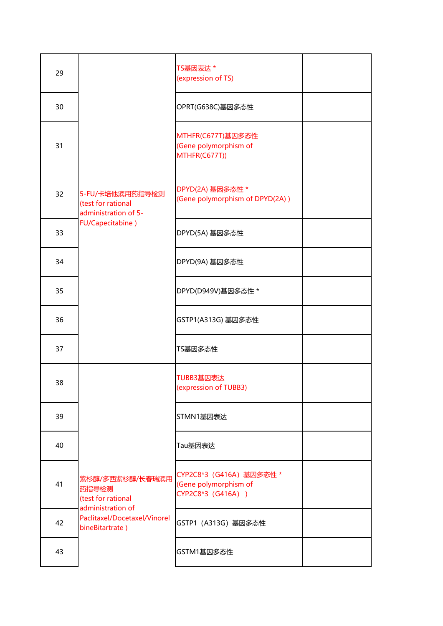| 29 |                                                                                                                        | TS基因表达*<br>(expression of TS)                                           |  |
|----|------------------------------------------------------------------------------------------------------------------------|-------------------------------------------------------------------------|--|
| 30 |                                                                                                                        | OPRT(G638C)基因多态性                                                        |  |
| 31 |                                                                                                                        | MTHFR(C677T)基因多态性<br>(Gene polymorphism of<br>MTHFR(C677T))             |  |
| 32 | 5-FU/卡培他滨用药指导检测<br>(test for rational<br>administration of 5-                                                          | DPYD(2A) 基因多态性 *<br>(Gene polymorphism of DPYD(2A))                     |  |
| 33 | FU/Capecitabine)                                                                                                       | DPYD(5A) 基因多态性                                                          |  |
| 34 |                                                                                                                        | DPYD(9A) 基因多态性                                                          |  |
| 35 |                                                                                                                        | DPYD(D949V)基因多态性 *                                                      |  |
| 36 |                                                                                                                        | GSTP1(A313G) 基因多态性                                                      |  |
| 37 |                                                                                                                        | TS基因多态性                                                                 |  |
| 38 |                                                                                                                        | TUBB3基因表达<br>(expression of TUBB3)                                      |  |
| 39 |                                                                                                                        | STMN1基因表达                                                               |  |
| 40 | 紫杉醇/多西紫杉醇/长春瑞滨用<br>药指导检测<br>(test for rational<br>administration of<br>Paclitaxel/Docetaxel/Vinorel<br>bineBitartrate) | Tau基因表达                                                                 |  |
| 41 |                                                                                                                        | CYP2C8*3 (G416A) 基因多态性 *<br>(Gene polymorphism of<br>CYP2C8*3 (G416A) ) |  |
| 42 |                                                                                                                        | GSTP1 (A313G) 基因多态性                                                     |  |
| 43 |                                                                                                                        | GSTM1基因多态性                                                              |  |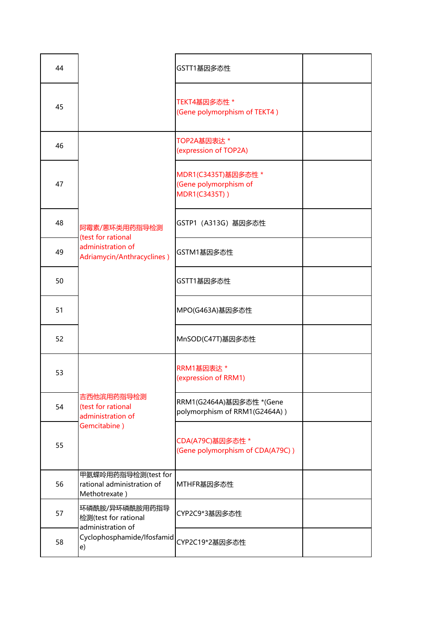| 44 |                                                                    | GSTT1基因多态性                                                    |  |
|----|--------------------------------------------------------------------|---------------------------------------------------------------|--|
| 45 |                                                                    | TEKT4基因多态性*<br>(Gene polymorphism of TEKT4)                   |  |
| 46 |                                                                    | TOP2A基因表达*<br>(expression of TOP2A)                           |  |
| 47 |                                                                    | MDR1(C3435T)基因多态性 *<br>(Gene polymorphism of<br>MDR1(C3435T)) |  |
| 48 | 阿霉素/蒽环类用药指导检测<br>(test for rational                                | GSTP1 (A313G) 基因多态性                                           |  |
| 49 | administration of<br>Adriamycin/Anthracyclines)                    | GSTM1基因多态性                                                    |  |
| 50 |                                                                    | GSTT1基因多态性                                                    |  |
| 51 |                                                                    | MPO(G463A)基因多态性                                               |  |
| 52 |                                                                    | MnSOD(C47T)基因多态性                                              |  |
| 53 |                                                                    | RRM1基因表达*<br>(expression of RRM1)                             |  |
| 54 | 吉西他滨用药指导检测<br>(test for rational<br>administration of              | RRM1(G2464A)基因多态性 *(Gene<br>polymorphism of RRM1(G2464A))     |  |
| 55 | Gemcitabine)                                                       | CDA(A79C)基因多态性 *<br>(Gene polymorphism of CDA(A79C))          |  |
| 56 | 甲氨蝶呤用药指导检测(test for<br>rational administration of<br>Methotrexate) | MTHFR基因多态性                                                    |  |
| 57 | 环磷酰胺/异环磷酰胺用药指导<br>检测(test for rational<br>administration of        | CYP2C9*3基因多态性                                                 |  |
| 58 | Cyclophosphamide/Ifosfamid<br>e)                                   | CYP2C19*2基因多态性                                                |  |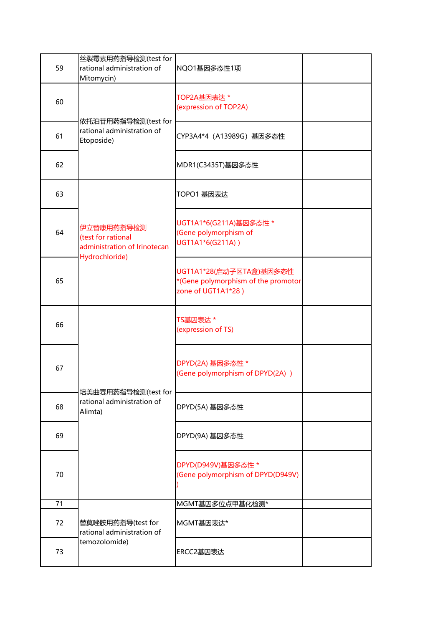|    | 丝裂霉素用药指导检测(test for                               |                                                           |  |
|----|---------------------------------------------------|-----------------------------------------------------------|--|
| 59 | rational administration of                        | NQO1基因多态性1项                                               |  |
|    | Mitomycin)                                        |                                                           |  |
|    |                                                   | TOP2A基因表达 *                                               |  |
| 60 |                                                   | (expression of TOP2A)                                     |  |
|    | 依托泊苷用药指导检测(test for                               |                                                           |  |
|    | rational administration of                        |                                                           |  |
| 61 | Etoposide)                                        | CYP3A4*4 (A13989G) 基因多态性                                  |  |
|    |                                                   |                                                           |  |
| 62 |                                                   | MDR1(C3435T)基因多态性                                         |  |
|    |                                                   |                                                           |  |
| 63 |                                                   | TOPO1 基因表达                                                |  |
|    |                                                   |                                                           |  |
|    |                                                   |                                                           |  |
|    | 伊立替康用药指导检测                                        | UGT1A1*6(G211A)基因多态性 *                                    |  |
| 64 | (test for rational                                | (Gene polymorphism of<br>UGT1A1*6(G211A))                 |  |
|    | administration of Irinotecan                      |                                                           |  |
|    | Hydrochloride)                                    |                                                           |  |
|    |                                                   | UGT1A1*28(启动子区TA盒)基因多态性                                   |  |
| 65 |                                                   | *(Gene polymorphism of the promotor<br>zone of UGT1A1*28) |  |
|    |                                                   |                                                           |  |
|    |                                                   |                                                           |  |
| 66 |                                                   | TS基因表达 *                                                  |  |
|    |                                                   | (expression of TS)                                        |  |
|    |                                                   |                                                           |  |
|    |                                                   | DPYD(2A) 基因多态性 *                                          |  |
| 67 |                                                   | (Gene polymorphism of DPYD(2A))                           |  |
|    |                                                   |                                                           |  |
|    | 培美曲赛用药指导检测(test for<br>rational administration of |                                                           |  |
| 68 | Alimta)                                           | DPYD(5A) 基因多态性                                            |  |
|    |                                                   |                                                           |  |
| 69 |                                                   | DPYD(9A) 基因多态性                                            |  |
|    |                                                   |                                                           |  |
|    |                                                   | DPYD(D949V)基因多态性 *                                        |  |
| 70 |                                                   | (Gene polymorphism of DPYD(D949V)                         |  |
|    |                                                   |                                                           |  |
|    |                                                   |                                                           |  |
| 71 |                                                   | MGMT基因多位点甲基化检测*                                           |  |
| 72 | 替莫唑胺用药指导(test for                                 | MGMT基因表达*                                                 |  |
|    | rational administration of                        |                                                           |  |
|    | temozolomide)                                     |                                                           |  |
| 73 |                                                   | ERCC2基因表达                                                 |  |
|    |                                                   |                                                           |  |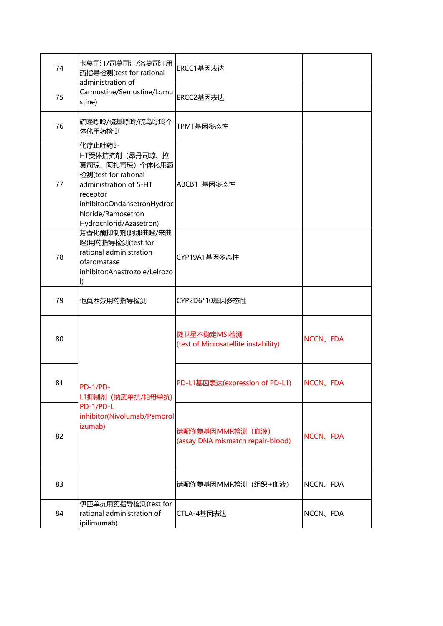| 74 | 卡莫司汀/司莫司汀/洛莫司汀用<br>药指导检测(test for rational<br>administration of                                                                                                                             | ERCC1基因表达                                             |           |
|----|---------------------------------------------------------------------------------------------------------------------------------------------------------------------------------------------|-------------------------------------------------------|-----------|
| 75 | Carmustine/Semustine/Lomu<br>stine)                                                                                                                                                         | ERCC2基因表达                                             |           |
| 76 | 硫唑嘌呤/巯基嘌呤/硫鸟嘌呤个<br>体化用药检测                                                                                                                                                                   | TPMT基因多态性                                             |           |
| 77 | 化疗止吐药5-<br>HT受体拮抗剂 (昂丹司琼、拉<br>莫司琼、阿扎司琼) 个体化用药<br>检测(test for rational<br>administration of 5-HT<br>receptor<br>inhibitor:OndansetronHydroc<br>hloride/Ramosetron<br>Hydrochlorid/Azasetron) | ABCB1 基因多态性                                           |           |
| 78 | 芳香化酶抑制剂(阿那曲唑/来曲<br>唑)用药指导检测(test for<br>rational administration<br>ofaromatase<br>inhibitor:Anastrozole/Lelrozo<br>Ð                                                                        | CYP19A1基因多态性                                          |           |
| 79 | 他莫西芬用药指导检测                                                                                                                                                                                  | CYP2D6*10基因多态性                                        |           |
| 80 |                                                                                                                                                                                             | 微卫星不稳定MSI检测<br>(test of Microsatellite instability)   | NCCN, FDA |
| 81 | PD-1/PD-<br>L1抑制剂 (纳武单抗/帕母单抗)                                                                                                                                                               | PD-L1基因表达(expression of PD-L1)                        | NCCN, FDA |
| 82 | PD-1/PD-L<br>inhibitor(Nivolumab/Pembrol<br>izumab)                                                                                                                                         | 错配修复基因MMR检测 (血液)<br>(assay DNA mismatch repair-blood) | NCCN, FDA |
| 83 |                                                                                                                                                                                             | 错配修复基因MMR检测 (组织+血液)                                   | NCCN, FDA |
| 84 | 伊匹单抗用药指导检测(test for<br>rational administration of<br>ipilimumab)                                                                                                                            | CTLA-4基因表达                                            | NCCN, FDA |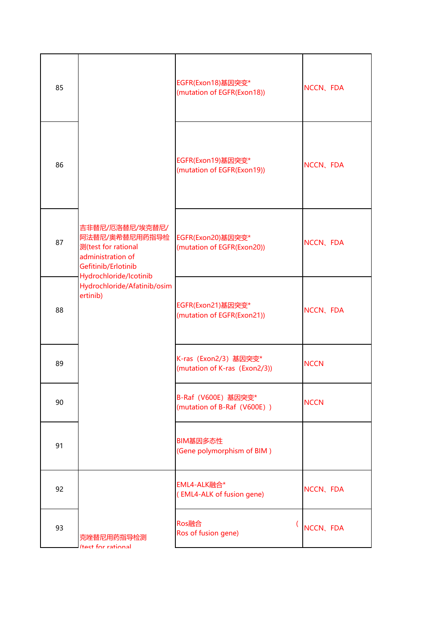| 85 | 吉非替尼/厄洛替尼/埃克替尼/<br>阿法替尼/奥希替尼用药指导检<br>测(test for rational<br>administration of<br>Gefitinib/Erlotinib<br>Hydrochloride/Icotinib<br>Hydrochloride/Afatinib/osim<br>ertinib) | EGFR(Exon18)基因突变*<br>(mutation of EGFR(Exon18))        | NCCN, FDA   |
|----|---------------------------------------------------------------------------------------------------------------------------------------------------------------------------|--------------------------------------------------------|-------------|
| 86 |                                                                                                                                                                           | EGFR(Exon19)基因突变*<br>(mutation of EGFR(Exon19))        | NCCN, FDA   |
| 87 |                                                                                                                                                                           | EGFR(Exon20)基因突变*<br>(mutation of EGFR(Exon20))        | NCCN、FDA    |
| 88 |                                                                                                                                                                           | EGFR(Exon21)基因突变*<br>(mutation of EGFR(Exon21))        | NCCN, FDA   |
| 89 |                                                                                                                                                                           | K-ras (Exon2/3) 基因突变*<br>(mutation of K-ras (Exon2/3)) | <b>NCCN</b> |
| 90 |                                                                                                                                                                           | B-Raf (V600E) 基因突变*<br>(mutation of B-Raf (V600E))     | <b>NCCN</b> |
| 91 |                                                                                                                                                                           | BIM基因多态性<br>(Gene polymorphism of BIM)                 |             |
| 92 |                                                                                                                                                                           | EML4-ALK融合*<br>(EML4-ALK of fusion gene)               | NCCN、FDA    |
| 93 | 克唑替尼用药指导检测<br><b>Itact for rational</b>                                                                                                                                   | Ros融合<br>Ros of fusion gene)                           | NCCN、FDA    |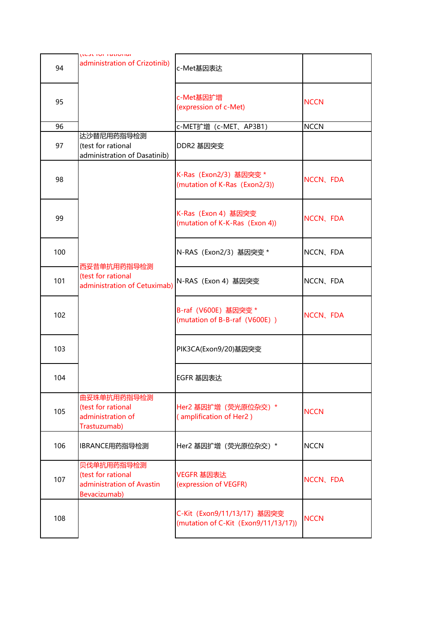|     | וכארוטו ומנוטוומו                                                             |                                                                     |             |
|-----|-------------------------------------------------------------------------------|---------------------------------------------------------------------|-------------|
| 94  | administration of Crizotinib)                                                 | c-Met基因表达                                                           |             |
| 95  |                                                                               | c-Met基因扩增<br>(expression of c-Met)                                  | <b>NCCN</b> |
| 96  |                                                                               | c-MET扩增 (c-MET、AP3B1)                                               | <b>NCCN</b> |
| 97  | 达沙替尼用药指导检测<br>(test for rational<br>administration of Dasatinib)              | DDR2 基因突变                                                           |             |
| 98  |                                                                               | K-Ras (Exon2/3) 基因突变 *<br>(mutation of K-Ras (Exon2/3))             | NCCN, FDA   |
| 99  |                                                                               | K-Ras (Exon 4) 基因突变<br>(mutation of K-K-Ras (Exon 4))               | NCCN, FDA   |
| 100 | 西妥昔单抗用药指导检测                                                                   | N-RAS (Exon2/3) 基因突变 *                                              | NCCN, FDA   |
| 101 | (test for rational<br>administration of Cetuximab)                            | N-RAS (Exon 4) 基因突变                                                 | NCCN, FDA   |
| 102 |                                                                               | B-raf (V600E) 基因突变 *<br>(mutation of B-B-raf (V600E))               | NCCN, FDA   |
| 103 |                                                                               | PIK3CA(Exon9/20)基因突变                                                |             |
| 104 |                                                                               | EGFR 基因表达                                                           |             |
| 105 | 曲妥珠单抗用药指导检测<br>(test for rational<br>administration of<br>Trastuzumab)        | Her2 基因扩增 (荧光原位杂交) *<br>(amplification of Her2)                     | <b>NCCN</b> |
| 106 | IBRANCE用药指导检测                                                                 | Her2 基因扩增 (荧光原位杂交) *                                                | <b>NCCN</b> |
| 107 | 贝伐单抗用药指导检测<br>(test for rational<br>administration of Avastin<br>Bevacizumab) | VEGFR 基因表达<br>(expression of VEGFR)                                 | NCCN, FDA   |
| 108 |                                                                               | C-Kit (Exon9/11/13/17) 基因突变<br>(mutation of C-Kit (Exon9/11/13/17)) | <b>NCCN</b> |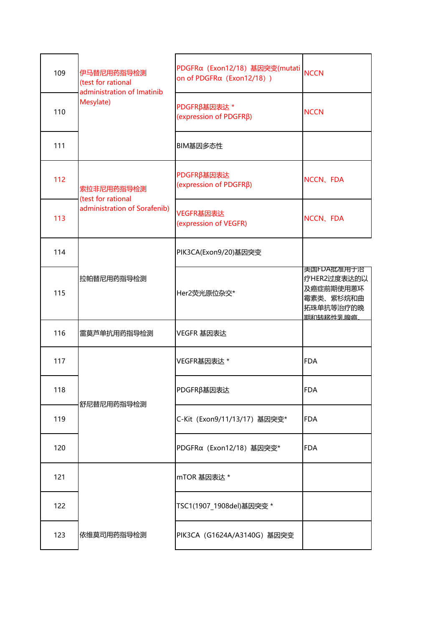| 109 | 伊马替尼用药指导检测<br>(test for rational        | PDGFRα (Exon12/18) 基因突变(mutati<br>on of PDGFRα (Exon12/18)) | <b>NCCN</b>                                                                  |
|-----|-----------------------------------------|-------------------------------------------------------------|------------------------------------------------------------------------------|
| 110 | administration of Imatinib<br>Mesylate) | PDGFRβ基因表达*<br>(expression of PDGFRβ)                       | <b>NCCN</b>                                                                  |
| 111 |                                         | BIM基因多态性                                                    |                                                                              |
| 112 | 索拉非尼用药指导检测<br>(test for rational        | PDGFRβ基因表达<br>(expression of PDGFRβ)                        | NCCN, FDA                                                                    |
| 113 | administration of Sorafenib)            | VEGFR基因表达<br>(expression of VEGFR)                          | NCCN、FDA                                                                     |
| 114 |                                         | PIK3CA(Exon9/20)基因突变                                        |                                                                              |
| 115 | 拉帕替尼用药指导检测                              | Her2荧光原位杂交*                                                 | 美国FDA批准用于治<br>疗HER2过度表达的以<br>及癌症前期使用蒽环<br>霉素类、紫杉烷和曲<br>拓珠单抗等治疗的晚<br>期和转移性乳腺癌 |
| 116 | 雷莫芦单抗用药指导检测                             | VEGFR 基因表达                                                  |                                                                              |
| 117 |                                         | VEGFR基因表达 *                                                 | <b>FDA</b>                                                                   |
| 118 |                                         | PDGFRβ基因表达                                                  | <b>FDA</b>                                                                   |
| 119 | 舒尼替尼用药指导检测                              | C-Kit (Exon9/11/13/17) 基因突变*                                | <b>FDA</b>                                                                   |
| 120 |                                         | PDGFRα (Exon12/18) 基因突变*                                    | <b>FDA</b>                                                                   |
| 121 |                                         | mTOR 基因表达 *                                                 |                                                                              |
| 122 |                                         | TSC1(1907_1908del)基因突变 *                                    |                                                                              |
| 123 | 依维莫司用药指导检测                              | PIK3CA (G1624A/A3140G) 基因突变                                 |                                                                              |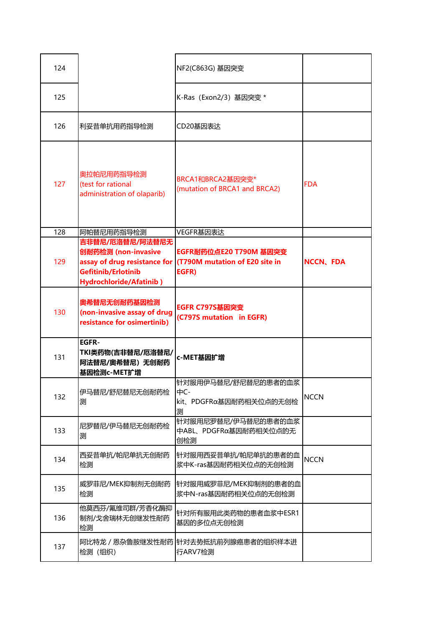| 124 |                                                                                          | NF2(C863G) 基因突变                                                                                |                  |
|-----|------------------------------------------------------------------------------------------|------------------------------------------------------------------------------------------------|------------------|
| 125 |                                                                                          | K-Ras (Exon2/3) 基因突变 *                                                                         |                  |
| 126 | 利妥昔单抗用药指导检测                                                                              | CD20基因表达                                                                                       |                  |
| 127 | 奥拉帕尼用药指导检测<br>(test for rational<br>administration of olaparib)                          | BRCA1和BRCA2基因突变*<br>(mutation of BRCA1 and BRCA2)                                              | <b>FDA</b>       |
| 128 | 阿帕替尼用药指导检测                                                                               | VEGFR基因表达                                                                                      |                  |
| 129 | 吉非替尼/厄洛替尼/阿法替尼无<br>创耐药检测 (non-invasive<br>Gefitinib/Erlotinib<br>Hydrochloride/Afatinib) | EGFR耐药位点E20 T790M 基因突变<br>assay of drug resistance for (T790M mutation of E20 site in<br>EGFR) | <b>NCCN, FDA</b> |
| 130 | 奥希替尼无创耐药基因检测<br>(non-invasive assay of drug<br>resistance for osimertinib)               | <b>EGFR C797S基因突变</b><br>(C797S mutation in EGFR)                                              |                  |
| 131 | <b>EGFR-</b><br>TKI类药物(吉非替尼/厄洛替尼/<br>阿法替尼/奥希替尼)无创耐药<br>基因检测c-MET扩增                       | c-MET基因扩增                                                                                      |                  |
| 132 | 伊马替尼/舒尼替尼无创耐药检<br>测                                                                      | 针对服用伊马替尼/舒尼替尼的患者的血浆<br>中C-<br>kit、PDGFRα基因耐药相关位点的无创检<br>测                                      | <b>NCCN</b>      |
| 133 | 尼罗替尼/伊马替尼无创耐药检<br>测                                                                      | 针对服用尼罗替尼/伊马替尼的患者的血浆<br>中ABL、PDGFRα基因耐药相关位点的无<br>创检测                                            |                  |
| 134 | 西妥昔单抗/帕尼单抗无创耐药<br>检测                                                                     | 针对服用西妥昔单抗/帕尼单抗的患者的血<br>浆中K-ras基因耐药相关位点的无创检测                                                    | <b>NCCN</b>      |
| 135 | 威罗菲尼/MEK抑制剂无创耐药<br>检测                                                                    | 针对服用威罗菲尼/MEK抑制剂的患者的血<br>浆中N-ras基因耐药相关位点的无创检测                                                   |                  |
| 136 | 他莫西芬/氟维司群/芳香化酶抑<br>制剂/戈舍瑞林无创继发性耐药<br>检测                                                  | 针对所有服用此类药物的患者血浆中ESR1<br>基因的多位点无创检测                                                             |                  |
| 137 | 检测 (组织)                                                                                  | 阿比特龙/恩杂鲁胺继发性耐药 针对去势抵抗前列腺癌患者的组织样本进<br>行ARV7检测                                                   |                  |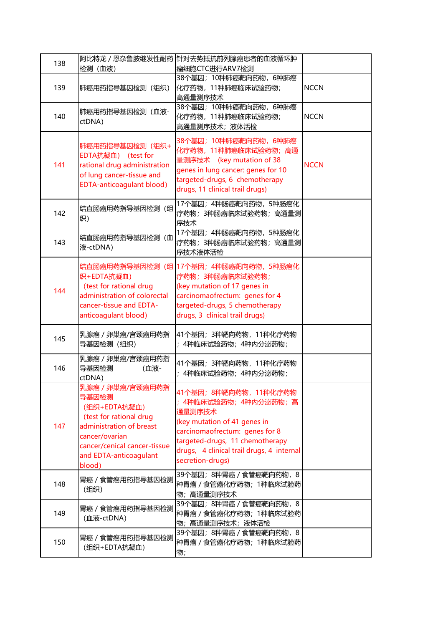| 138 | 检测 (血液)                                                                                                                                                                              | 阿比特龙 / 恩杂鲁胺继发性耐药 针对去势抵抗前列腺癌患者的血液循环肿<br>瘤细胞CTC进行ARV7检测                                                                                                                                                                          |             |
|-----|--------------------------------------------------------------------------------------------------------------------------------------------------------------------------------------|--------------------------------------------------------------------------------------------------------------------------------------------------------------------------------------------------------------------------------|-------------|
| 139 | 肺癌用药指导基因检测 (组织)                                                                                                                                                                      | 38个基因; 10种肺癌靶向药物, 6种肺癌<br>化疗药物, 11种肺癌临床试验药物;<br>高通量测序技术                                                                                                                                                                        | <b>NCCN</b> |
| 140 | 肺癌用药指导基因检测 (血液-<br>ctDNA)                                                                                                                                                            | 38个基因; 10种肺癌靶向药物, 6种肺癌<br>化疗药物, 11种肺癌临床试验药物;<br>高通量测序技术;液体活检                                                                                                                                                                   | <b>NCCN</b> |
| 141 | 肺癌用药指导基因检测 (组织+<br>EDTA抗凝血) (test for<br>rational drug administration<br>of lung cancer-tissue and<br><b>EDTA-anticoagulant blood)</b>                                               | 38个基因; 10种肺癌靶向药物, 6种肺癌<br>化疗药物, 11种肺癌临床试验药物; 高通<br>量测序技术 (key mutation of 38<br>genes in lung cancer: genes for 10<br>targeted-drugs, 6 chemotherapy<br>drugs, 11 clinical trail drugs)                                        | <b>NCCN</b> |
| 142 | 结直肠癌用药指导基因检测(组<br>织)                                                                                                                                                                 | 17个基因; 4种肠癌靶向药物, 5种肠癌化<br>疗药物;3种肠癌临床试验药物;高通量测<br>序技术                                                                                                                                                                           |             |
| 143 | 结直肠癌用药指导基因检测(血<br>液-ctDNA)                                                                                                                                                           | 17个基因; 4种肠癌靶向药物, 5种肠癌化<br>疗药物; 3种肠癌临床试验药物; 高通量测<br>序技术液体活检                                                                                                                                                                     |             |
| 144 | 织+EDTA抗凝血)<br>(test for rational drug<br>administration of colorectal<br>cancer-tissue and EDTA-<br>anticoagulant blood)                                                             | 结直肠癌用药指导基因检测 (组 17个基因; 4种肠癌靶向药物, 5种肠癌化<br>疗药物; 3种肠癌临床试验药物;<br>(key mutation of 17 genes in<br>carcinomaofrectum: genes for 4<br>targeted-drugs, 5 chemotherapy<br>drugs, 3 clinical trail drugs)                               |             |
| 145 | 乳腺癌 / 卵巢癌/宫颈癌用药指<br>导基因检测 (组织)                                                                                                                                                       | 41个基因; 3种靶向药物, 11种化疗药物<br>; 4种临床试验药物; 4种内分泌药物;                                                                                                                                                                                 |             |
| 146 | 乳腺癌 / 卵巢癌/宫颈癌用药指<br>导基因检测<br>(血液-<br>ctDNA)                                                                                                                                          | 41个基因;3种靶向药物,11种化疗药物<br>; 4种临床试验药物; 4种内分泌药物;                                                                                                                                                                                   |             |
| 147 | 乳腺癌/卵巢癌/宫颈癌用药指<br>导基因检测<br>(组织+EDTA抗凝血)<br>(test for rational drug<br>administration of breast<br>cancer/ovarian<br>cancer/cenical cancer-tissue<br>and EDTA-anticoagulant<br>blood) | 41个基因;8种靶向药物,11种化疗药物<br>; 4种临床试验药物; 4种内分泌药物; 高<br>通量测序技术<br>(key mutation of 41 genes in<br>carcinomaofrectum: genes for 8<br>targeted-drugs, 11 chemotherapy<br>drugs, 4 clinical trail drugs, 4 internal<br>secretion-drugs) |             |
| 148 | 胃癌 / 食管癌用药指导基因检测<br>(组织)                                                                                                                                                             | 39个基因; 8种胃癌 / 食管癌靶向药物, 8<br>种胃癌 / 食管癌化疗药物; 1种临床试验药<br>物;高通量测序技术                                                                                                                                                                |             |
| 149 | 胃癌 / 食管癌用药指导基因检测<br>(血液-ctDNA)                                                                                                                                                       | 39个基因; 8种胃癌 / 食管癌靶向药物, 8<br>种胃癌 / 食管癌化疗药物; 1种临床试验药<br>物;高通量测序技术;液体活检                                                                                                                                                           |             |
| 150 | 胃癌 / 食管癌用药指导基因检测<br>(组织+EDTA抗凝血)                                                                                                                                                     | 39个基因; 8种胃癌 / 食管癌靶向药物, 8<br>种胃癌 / 食管癌化疗药物; 1种临床试验药<br>物;                                                                                                                                                                       |             |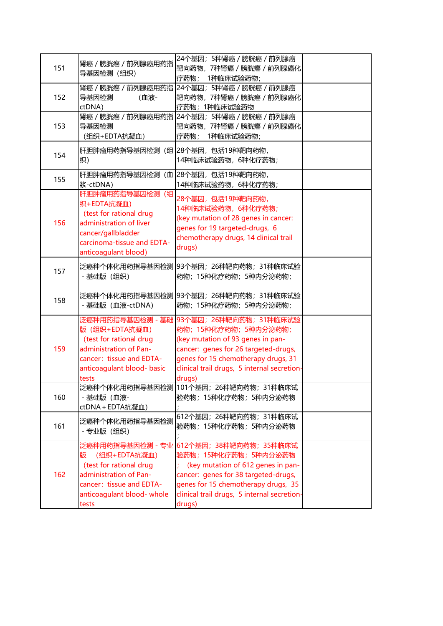| 151 | 肾癌 / 膀胱癌 / 前列腺癌用药指<br>导基因检测 (组织)                                                                                                                               | 24个基因; 5种肾癌 / 膀胱癌 / 前列腺癌<br>靶向药物,7种肾癌 / 膀胱癌 / 前列腺癌化<br>疗药物; 1种临床试验药物;                                                                                                                                                                        |  |
|-----|----------------------------------------------------------------------------------------------------------------------------------------------------------------|----------------------------------------------------------------------------------------------------------------------------------------------------------------------------------------------------------------------------------------------|--|
| 152 | 导基因检测<br>(血液-<br>ctDNA)                                                                                                                                        | 肾癌/膀胱癌/前列腺癌用药指 24个基因;5种肾癌/膀胱癌/前列腺癌<br>靶向药物,7种肾癌 / 膀胱癌 / 前列腺癌化<br>疗药物; 1种临床试验药物                                                                                                                                                               |  |
| 153 | 导基因检测<br>(组织+EDTA抗凝血)                                                                                                                                          | 肾癌/膀胱癌/前列腺癌用药指 24个基因;5种肾癌/膀胱癌/前列腺癌<br>靶向药物,7种肾癌 / 膀胱癌 / 前列腺癌化<br>疗药物; 1种临床试验药物;                                                                                                                                                              |  |
| 154 | 肝胆肿瘤用药指导基因检测 (组 28个基因, 包括19种靶向药物,<br>织)                                                                                                                        | 14种临床试验药物, 6种化疗药物;                                                                                                                                                                                                                           |  |
| 155 | 肝胆肿瘤用药指导基因检测 (血 28个基因,包括19种靶向药物,<br>浆-ctDNA)                                                                                                                   | 14种临床试验药物, 6种化疗药物;                                                                                                                                                                                                                           |  |
| 156 | 肝胆肿瘤用药指导基因检测(组<br>织+EDTA抗凝血)<br>(test for rational drug<br>administration of liver<br>cancer/gallbladder<br>carcinoma-tissue and EDTA-<br>anticoagulant blood) | 28个基因,包括19种靶向药物,<br>14种临床试验药物,6种化疗药物;<br>(key mutation of 28 genes in cancer:<br>genes for 19 targeted-drugs, 6<br>chemotherapy drugs, 14 clinical trail<br>drugs)                                                                           |  |
| 157 | - 基础版 (组织)                                                                                                                                                     | 泛癌种个体化用药指导基因检测 93个基因; 26种靶向药物; 31种临床试验<br>药物; 15种化疗药物; 5种内分泌药物;                                                                                                                                                                              |  |
| 158 | - 基础版 (血液-ctDNA)                                                                                                                                               | 泛癌种个体化用药指导基因检测  93个基因;26种靶向药物;31种临床试验<br>药物; 15种化疗药物; 5种内分泌药物;                                                                                                                                                                               |  |
| 159 | 版 (组织+EDTA抗凝血)<br>(test for rational drug<br>administration of Pan-<br>cancer: tissue and EDTA-<br>anticoagulant blood- basic<br>tests                         | 泛癌种用药指导基因检测 - 基础 93个基因;26种靶向药物;31种临床试验<br>药物; 15种化疗药物; 5种内分泌药物;<br>(key mutation of 93 genes in pan-<br>cancer: genes for 26 targeted-drugs,<br>genes for 15 chemotherapy drugs, 31<br>clinical trail drugs, 5 internal secretion-<br>drugs) |  |
| 160 | - 基础版 (血液-<br>ctDNA + EDTA抗凝血)                                                                                                                                 | 泛癌种个体化用药指导基因检测 101个基因; 26种靶向药物; 31种临床试<br>验药物;15种化疗药物;5种内分泌药物                                                                                                                                                                                |  |
| 161 | 泛癌种个体化用药指导基因检测<br>- 专业版 (组织)                                                                                                                                   | 612个基因; 26种靶向药物; 31种临床试<br>验药物;15种化疗药物;5种内分泌药物                                                                                                                                                                                               |  |
| 162 | 泛癌种用药指导基因检测 - 专业<br>(组织+EDTA抗凝血)<br>版<br>(test for rational drug<br>administration of Pan-<br>cancer: tissue and EDTA-<br>anticoagulant blood- whole<br>tests  | 612个基因; 38种靶向药物; 35种临床试<br>验药物; 15种化疗药物; 5种内分泌药物<br>(key mutation of 612 genes in pan-<br>cancer: genes for 38 targeted-drugs,<br>genes for 15 chemotherapy drugs, 35<br>clinical trail drugs, 5 internal secretion-<br>drugs)               |  |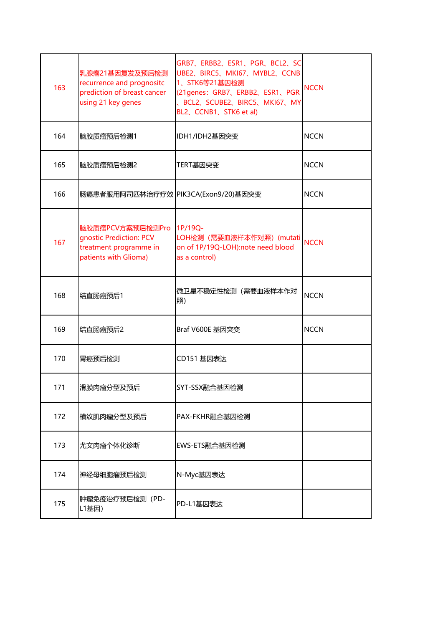| 163 | 乳腺癌21基因复发及预后检测<br>recurrence and prognositc<br>prediction of breast cancer<br>using 21 key genes       | GRB7、ERBB2、ESR1、PGR、BCL2、SC<br>UBE2、BIRC5、MKI67、MYBL2、CCNB<br>1、STK6等21基因检测<br>(21genes: GRB7、ERBB2、ESR1、PGR<br>、BCL2、SCUBE2、BIRC5、MKI67、MY<br>BL2、CCNB1、STK6 et al) | <b>NCCN</b> |
|-----|--------------------------------------------------------------------------------------------------------|----------------------------------------------------------------------------------------------------------------------------------------------------------------------|-------------|
| 164 | 脑胶质瘤预后检测1                                                                                              | IDH1/IDH2基因突变                                                                                                                                                        | <b>NCCN</b> |
| 165 | 脑胶质瘤预后检测2                                                                                              | TERT基因突变                                                                                                                                                             | <b>NCCN</b> |
| 166 | 肠癌患者服用阿司匹林治疗疗效 PIK3CA(Exon9/20)基因突变                                                                    |                                                                                                                                                                      | <b>NCCN</b> |
| 167 | 脑胶质瘤PCV方案预后检测Pro 1P/19Q-<br>gnostic Prediction: PCV<br>treatment programme in<br>patients with Glioma) | LOH检测 (需要血液样本作对照) (mutati<br>on of 1P/19Q-LOH):note need blood<br>as a control)                                                                                      | <b>NCCN</b> |
| 168 | 结直肠癌预后1                                                                                                | 微卫星不稳定性检测(需要血液样本作对<br>照)                                                                                                                                             | <b>NCCN</b> |
| 169 | 结直肠癌预后2                                                                                                | Braf V600E 基因突变                                                                                                                                                      | <b>NCCN</b> |
| 170 | 胃癌预后检测                                                                                                 | CD151 基因表达                                                                                                                                                           |             |
| 171 | 滑膜肉瘤分型及预后                                                                                              | SYT-SSX融合基因检测                                                                                                                                                        |             |
| 172 | 横纹肌肉瘤分型及预后                                                                                             | PAX-FKHR融合基因检测                                                                                                                                                       |             |
| 173 | 尤文肉瘤个体化诊断                                                                                              | EWS-ETS融合基因检测                                                                                                                                                        |             |
| 174 | 神经母细胞瘤预后检测                                                                                             | N-Myc基因表达                                                                                                                                                            |             |
| 175 | 肿瘤免疫治疗预后检测 (PD-<br>L1基因)                                                                               | PD-L1基因表达                                                                                                                                                            |             |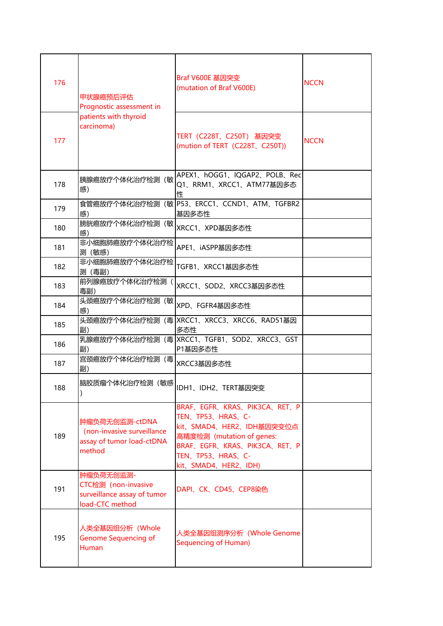| 176 | 甲状腺癌预后评估<br>Prognostic assessment in                                                | Braf V600E 基因突变<br>(mutation of Braf V600E)                                                                                                                                                  | <b>NCCN</b> |
|-----|-------------------------------------------------------------------------------------|----------------------------------------------------------------------------------------------------------------------------------------------------------------------------------------------|-------------|
| 177 | patients with thyroid<br>carcinoma)                                                 | TERT (C228T、C250T) 基因突变<br>(mution of TERT (C228T, C250T))                                                                                                                                   | <b>NCCN</b> |
| 178 | 胰腺癌放疗个体化治疗检测(敏<br>感)                                                                | APEX1、hOGG1、IQGAP2、POLB、Rec<br>Q1、RRM1、XRCC1、ATM77基因多态<br>性                                                                                                                                  |             |
| 179 | 感)                                                                                  | 食管癌放疗个体化治疗检测(敏 P53、ERCC1、CCND1、ATM、TGFBR2<br>基因多态性                                                                                                                                           |             |
| 180 | 膀胱癌放疗个体化治疗检测(敏<br>感)                                                                | XRCC1、XPD基因多态性                                                                                                                                                                               |             |
| 181 | 非小细胞肺癌放疗个体化治疗检<br>测(敏感)                                                             | APE1、iASPP基因多态性                                                                                                                                                                              |             |
| 182 | 非小细胞肺癌放疗个体化治疗检<br>测 (毒副)                                                            | TGFB1、XRCC1基因多态性                                                                                                                                                                             |             |
| 183 | 前列腺癌放疗个体化治疗检测<br>毒副)                                                                | XRCC1、SOD2、XRCC3基因多态性                                                                                                                                                                        |             |
| 184 | 头颈癌放疗个体化治疗检测(敏<br>感)                                                                | XPD、FGFR4基因多态性                                                                                                                                                                               |             |
| 185 | 副)                                                                                  | 头颈癌放疗个体化治疗检测(毒 XRCC1、XRCC3、XRCC6、RAD51基因<br>多态性                                                                                                                                              |             |
| 186 | 副)                                                                                  | 乳腺癌放疗个体化治疗检测(毒 XRCC1、TGFB1、SOD2、XRCC3、GST<br>P1基因多态性                                                                                                                                         |             |
| 187 | 宫颈癌放疗个体化治疗检测 (毒<br>副)                                                               | XRCC3基因多态性                                                                                                                                                                                   |             |
| 188 | 脑胶质瘤个体化治疗检测(敏感 <br> IDH1、IDH2、TERT基因突变                                              |                                                                                                                                                                                              |             |
| 189 | 肿瘤负荷无创监测-ctDNA<br>(non-invasive surveillance<br>assay of tumor load-ctDNA<br>method | BRAF, EGFR, KRAS, PIK3CA, RET, P<br>TEN、TP53、HRAS、C-<br>kit、SMAD4、HER2、IDH基因突变位点<br>高精度检测 (mutation of genes:<br>BRAF, EGFR, KRAS, PIK3CA, RET, P<br>TEN、TP53、HRAS、C-<br>kit、SMAD4、HER2、IDH) |             |
| 191 | 肿瘤负荷无创监测-<br>CTC检测 (non-invasive<br>surveillance assay of tumor<br>load-CTC method  | DAPI、CK、CD45、CEP8染色                                                                                                                                                                          |             |
| 195 | 人类全基因组分析 (Whole<br><b>Genome Sequencing of</b><br><b>Human</b>                      | 人类全基因组测序分析 (Whole Genome<br>Sequencing of Human)                                                                                                                                             |             |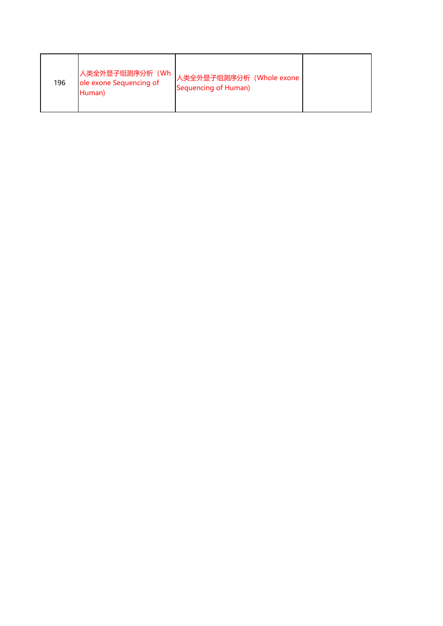| 196 | 人类全外显子组测序分析 (Wh<br>ole exone Sequencing of<br>Human) | 人类全外显子组测序分析 (Whole exone<br>Sequencing of Human) |  |
|-----|------------------------------------------------------|--------------------------------------------------|--|
|-----|------------------------------------------------------|--------------------------------------------------|--|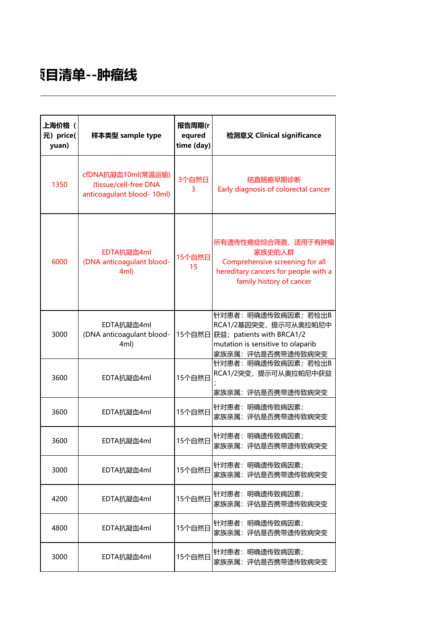## **检测项目清单--肿瘤线**

| 上海价格(<br>元) price(<br>yuan) | 样本类型 sample type                                                         | 报告周期(r<br>equred<br>time (day) | 检测意义 Clinical significance                                                                                                                   |
|-----------------------------|--------------------------------------------------------------------------|--------------------------------|----------------------------------------------------------------------------------------------------------------------------------------------|
| 1350                        | cfDNA抗凝血10ml(常温运输)<br>(tissue/cell-free DNA<br>anticoagulant blood-10ml) | 3个自然日<br>3                     | 结直肠癌早期诊断<br>Early diagnosis of colorectal cancer                                                                                             |
| 6000                        | EDTA抗凝血4ml<br>(DNA anticoagulant blood-<br>4ml)                          | 15个自然日<br>15                   | 所有遗传性癌症综合筛查,适用于有肿瘤<br>家族史的人群<br>Comprehensive screening for all<br>hereditary cancers for people with a<br>family history of cancer          |
| 3000                        | EDTA抗凝血4ml<br>(DNA anticoagulant blood-<br>4ml)                          |                                | 针对患者: 明确遗传致病因素; 若检出B<br>RCA1/2基因突变, 提示可从奥拉帕尼中<br>15个自然日 获益; patients with BRCA1/2<br>mutation is sensitive to olaparib<br>家族亲属: 评估是否携带遗传致病突变 |
| 3600                        | EDTA抗凝血4ml                                                               | 15个自然日                         | 针对患者: 明确遗传致病因素; 若检出B<br>RCA1/2突变, 提示可从奥拉帕尼中获益<br>评估是否携带遗传致病突变<br>家族亲属:                                                                       |
| 3600                        | EDTA抗凝血4ml                                                               | 15个自然日                         | 针对患者: 明确遗传致病因素;<br>家族亲属: 评估是否携带遗传致病突变                                                                                                        |
| 3600                        | EDTA抗凝血4ml                                                               | 15个自然日                         | 针对患者: 明确遗传致病因素;<br>家族亲属: 评估是否携带遗传致病突变                                                                                                        |
| 3000                        | EDTA抗凝血4ml                                                               | 15个自然日                         | 针对患者: 明确遗传致病因素;<br>家族亲属:评估是否携带遗传致病突变                                                                                                         |
| 4200                        | EDTA抗凝血4ml                                                               | 15个自然日                         | 针对患者: 明确遗传致病因素;<br>家族亲属: 评估是否携带遗传致病突变                                                                                                        |
| 4800                        | EDTA抗凝血4ml                                                               | 15个自然日                         | 针对患者: 明确遗传致病因素;<br>家族亲属:评估是否携带遗传致病突变                                                                                                         |
| 3000                        | EDTA抗凝血4ml                                                               | 15个自然日                         | 针对患者: 明确遗传致病因素;<br>家族亲属: 评估是否携带遗传致病突变                                                                                                        |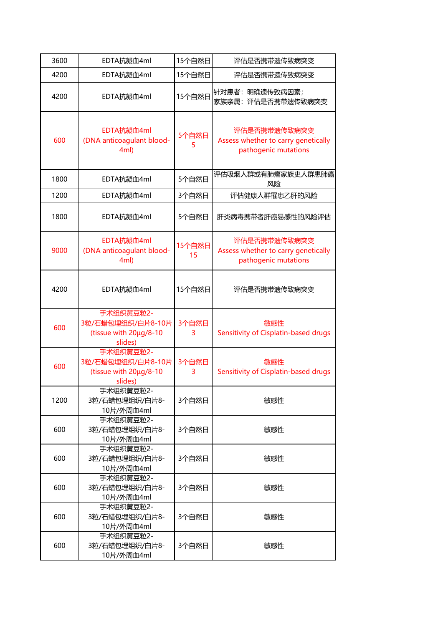| 3600 | EDTA抗凝血4ml                                                          | 15个自然日       | 评估是否携带遗传致病突变                                                                |
|------|---------------------------------------------------------------------|--------------|-----------------------------------------------------------------------------|
| 4200 | EDTA抗凝血4ml                                                          | 15个自然日       | 评估是否携带遗传致病突变                                                                |
| 4200 | EDTA抗凝血4ml                                                          | 15个自然日       | 针对患者:明确遗传致病因素;<br>评估是否携带遗传致病突变<br>家族亲属:                                     |
| 600  | EDTA抗凝血4ml<br>(DNA anticoagulant blood-<br>4ml)                     | 5个自然日<br>5   | 评估是否携带遗传致病突变<br>Assess whether to carry genetically<br>pathogenic mutations |
| 1800 | EDTA抗凝血4ml                                                          | 5个自然日        | 评估吸烟人群或有肺癌家族史人群患肺癌<br>风险                                                    |
| 1200 | EDTA抗凝血4ml                                                          | 3个自然日        | 评估健康人群罹患乙肝的风险                                                               |
| 1800 | EDTA抗凝血4ml                                                          | 5个自然日        | 肝炎病毒携带者肝癌易感性的风险评估                                                           |
| 9000 | EDTA抗凝血4ml<br>(DNA anticoagulant blood-<br>4ml)                     | 15个自然日<br>15 | 评估是否携带遗传致病突变<br>Assess whether to carry genetically<br>pathogenic mutations |
| 4200 | EDTA抗凝血4ml                                                          | 15个自然日       | 评估是否携带遗传致病突变                                                                |
| 600  | 手术组织黄豆粒2-<br>3粒/石蜡包埋组织/白片8-10片<br>(tissue with 20µg/8-10<br>slides) | 3个自然日<br>3   | 敏感性<br>Sensitivity of Cisplatin-based drugs                                 |
| 600  | 手术组织黄豆粒2-<br>3粒/石蜡包埋组织/白片8-10片<br>(tissue with 20µg/8-10<br>slides) | 3个自然日<br>3   | 敏感性<br>Sensitivity of Cisplatin-based drugs                                 |
| 1200 | 手术组织黄豆粒2-<br>3粒/石蜡包埋组织/白片8-<br>10片/外周血4ml                           | 3个自然日        | 敏感性                                                                         |
| 600  | 手术组织黄豆粒2-<br>3粒/石蜡包埋组织/白片8-<br>10片/外周血4ml                           | 3个自然日        | 敏感性                                                                         |
| 600  | 手术组织黄豆粒2-<br>3粒/石蜡包埋组织/白片8-<br>10片/外周血4ml                           | 3个自然日        | 敏感性                                                                         |
| 600  | 手术组织黄豆粒2-<br>3粒/石蜡包埋组织/白片8-<br>10片/外周血4ml                           | 3个自然日        | 敏感性                                                                         |
| 600  | 手术组织黄豆粒2-<br>3粒/石蜡包埋组织/白片8-<br>10片/外周血4ml                           | 3个自然日        | 敏感性                                                                         |
| 600  | 手术组织黄豆粒2-<br>3粒/石蜡包埋组织/白片8-<br>10片/外周血4ml                           | 3个自然日        | 敏感性                                                                         |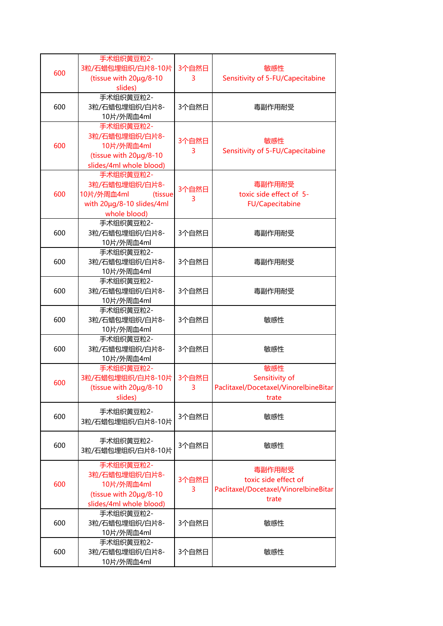| 600 | 手术组织黄豆粒2-<br>3粒/石蜡包埋组织/白片8-10片<br>(tissue with 20µg/8-10<br>slides)                               | 3个自然日<br>3  | 敏感性<br>Sensitivity of 5-FU/Capecitabine                                          |
|-----|---------------------------------------------------------------------------------------------------|-------------|----------------------------------------------------------------------------------|
| 600 | 手术组织黄豆粒2-<br>3粒/石蜡包埋组织/白片8-<br>10片/外周血4ml                                                         | 3个自然日       | 毒副作用耐受                                                                           |
| 600 | 手术组织黄豆粒2-<br>3粒/石蜡包埋组织/白片8-<br>10片/外周血4ml<br>(tissue with 20µg/8-10<br>slides/4ml whole blood)    | 3个自然日<br>3  | 敏感性<br>Sensitivity of 5-FU/Capecitabine                                          |
| 600 | 手术组织黄豆粒2-<br>3粒/石蜡包埋组织/白片8-<br>10片/外周血4ml<br>(tissue<br>with 20µg/8-10 slides/4ml<br>whole blood) | 3个自然日<br>3  | 毒副作用耐受<br>toxic side effect of 5-<br><b>FU/Capecitabine</b>                      |
| 600 | 手术组织黄豆粒2-<br>3粒/石蜡包埋组织/白片8-<br>10片/外周血4ml                                                         | 3个自然日       | 毒副作用耐受                                                                           |
| 600 | 手术组织黄豆粒2-<br>3粒/石蜡包埋组织/白片8-<br>10片/外周血4ml                                                         | 3个自然日       | 毒副作用耐受                                                                           |
| 600 | 手术组织黄豆粒2-<br>3粒/石蜡包埋组织/白片8-<br>10片/外周血4ml                                                         | 3个自然日       | 毒副作用耐受                                                                           |
| 600 | 手术组织黄豆粒2-<br>3粒/石蜡包埋组织/白片8-<br>10片/外周血4ml                                                         | 3个自然日       | 敏感性                                                                              |
| 600 | 手术组织黄豆粒2-<br>3粒/石蜡包埋组织/白片8-<br>10片/外周血4ml                                                         | 3个自然日       | 敏感性                                                                              |
| 600 | 手术组织黄豆粒2-<br>3粒/石蜡包埋组织/白片8-10片<br>(tissue with $20\mu q/8-10$<br>slides)                          | 3个自然日<br>3. | 敏感性<br>Sensitivity of<br>Paclitaxel/Docetaxel/VinorelbineBitar<br>trate          |
| 600 | 手术组织黄豆粒2-<br>3粒/石蜡包埋组织/白片8-10片                                                                    | 3个自然日       | 敏感性                                                                              |
| 600 | 手术组织黄豆粒2-<br>3粒/石蜡包埋组织/白片8-10片                                                                    | 3个自然日       | 敏感性                                                                              |
| 600 | 手术组织黄豆粒2-<br>3粒/石蜡包埋组织/白片8-<br>10片/外周血4ml<br>(tissue with 20µg/8-10<br>slides/4ml whole blood)    | 3个自然日<br>3  | 毒副作用耐受<br>toxic side effect of<br>Paclitaxel/Docetaxel/VinorelbineBitar<br>trate |
| 600 | 手术组织黄豆粒2-<br>3粒/石蜡包埋组织/白片8-<br>10片/外周血4ml                                                         | 3个自然日       | 敏感性                                                                              |
| 600 | 手术组织黄豆粒2-<br>3粒/石蜡包埋组织/白片8-<br>10片/外周血4ml                                                         | 3个自然日       | 敏感性                                                                              |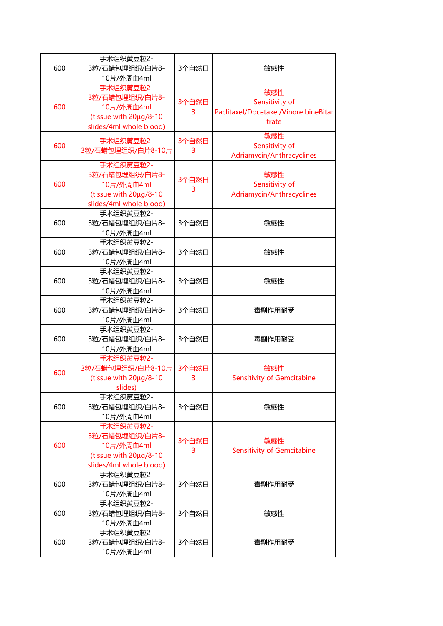|     | 手术组织黄豆粒2-                                         |       |                                             |
|-----|---------------------------------------------------|-------|---------------------------------------------|
| 600 | 3粒/石蜡包埋组织/白片8-                                    | 3个自然日 | 敏感性                                         |
|     | 10片/外周血4ml<br>手术组织黄豆粒2-                           |       |                                             |
|     | 3粒/石蜡包埋组织/白片8-                                    |       | 敏感性                                         |
| 600 | 10片/外周血4ml                                        | 3个自然日 | Sensitivity of                              |
|     | (tissue with 20µg/8-10                            | 3     | Paclitaxel/Docetaxel/VinorelbineBitar       |
|     | slides/4ml whole blood)                           |       | trate                                       |
|     | 手术组织黄豆粒2-                                         | 3个自然日 | 敏感性                                         |
| 600 | 3粒/石蜡包埋组织/白片8-10片                                 | 3     | Sensitivity of                              |
|     |                                                   |       | Adriamycin/Anthracyclines                   |
|     | 手术组织黄豆粒2-                                         |       |                                             |
| 600 | 3粒/石蜡包埋组织/白片8-                                    | 3个自然日 | 敏感性                                         |
|     | 10片/外周血4ml<br>(tissue with 20µg/8-10              | 3     | Sensitivity of<br>Adriamycin/Anthracyclines |
|     | slides/4ml whole blood)                           |       |                                             |
|     | 手术组织黄豆粒2-                                         |       |                                             |
| 600 | 3粒/石蜡包埋组织/白片8-                                    | 3个自然日 | 敏感性                                         |
|     | 10片/外周血4ml                                        |       |                                             |
|     | 手术组织黄豆粒2-                                         |       |                                             |
| 600 | 3粒/石蜡包埋组织/白片8-                                    | 3个自然日 | 敏感性                                         |
|     | 10片/外周血4ml                                        |       |                                             |
|     | 手术组织黄豆粒2-                                         | 3个自然日 |                                             |
| 600 | 3粒/石蜡包埋组织/白片8-                                    |       | 敏感性                                         |
|     | 10片/外周血4ml                                        |       |                                             |
|     | 手术组织黄豆粒2-                                         | 3个自然日 |                                             |
| 600 | 3粒/石蜡包埋组织/白片8-                                    |       | 毒副作用耐受                                      |
|     | 10片/外周血4ml<br>手术组织黄豆粒2-                           |       |                                             |
| 600 | 3粒/石蜡包埋组织/白片8-                                    | 3个自然日 | 毒副作用耐受                                      |
|     | 10片/外周血4ml                                        |       |                                             |
|     | 手术组织黄豆粒2-                                         |       |                                             |
|     | 3粒/石蜡包埋组织/白片8-10片                                 | 3个自然日 | 敏感性                                         |
| 600 | (tissue with 20µg/8-10                            | 3     | <b>Sensitivity of Gemcitabine</b>           |
|     | slides)                                           |       |                                             |
|     | 手术组织黄豆粒2-                                         |       |                                             |
| 600 | 3粒/石蜡包埋组织/白片8-                                    | 3个自然日 | 敏感性                                         |
|     | 10片/外周血4ml                                        |       |                                             |
|     | 手术组织黄豆粒2-                                         |       |                                             |
|     | 3粒/石蜡包埋组织/白片8-                                    | 3个自然日 | 敏感性                                         |
| 600 | 10片/外周血4ml                                        | 3     | <b>Sensitivity of Gemcitabine</b>           |
|     | (tissue with 20µg/8-10<br>slides/4ml whole blood) |       |                                             |
|     | 手术组织黄豆粒2-                                         |       |                                             |
| 600 | 3粒/石蜡包埋组织/白片8-                                    | 3个自然日 | 毒副作用耐受                                      |
|     | 10片/外周血4ml                                        |       |                                             |
|     | 手术组织黄豆粒2-                                         |       |                                             |
| 600 | 3粒/石蜡包埋组织/白片8-                                    | 3个自然日 | 敏感性                                         |
|     | 10片/外周血4ml                                        |       |                                             |
|     | 手术组织黄豆粒2-                                         |       |                                             |
| 600 | 3粒/石蜡包埋组织/白片8-                                    | 3个自然日 | 毒副作用耐受                                      |
|     | 10片/外周血4ml                                        |       |                                             |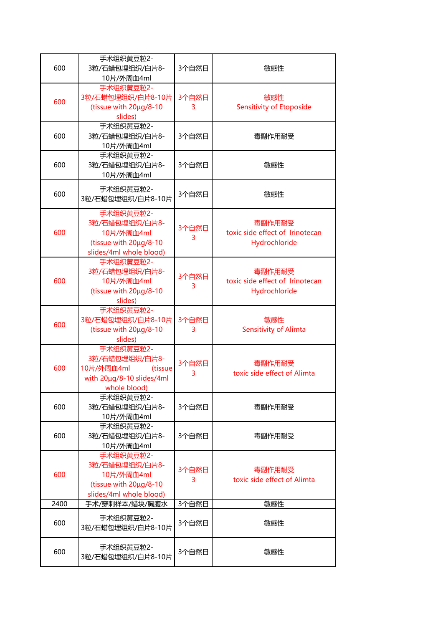| 600  | 手术组织黄豆粒2-<br>3粒/石蜡包埋组织/白片8-                                                                       | 3个自然日      | 敏感性                                                        |
|------|---------------------------------------------------------------------------------------------------|------------|------------------------------------------------------------|
| 600  | 10片/外周血4ml<br>手术组织黄豆粒2-<br>3粒/石蜡包埋组织/白片8-10片<br>(tissue with 20µg/8-10<br>slides)                 | 3个自然日<br>3 | 敏感性<br><b>Sensitivity of Etoposide</b>                     |
| 600  | 手术组织黄豆粒2-<br>3粒/石蜡包埋组织/白片8-<br>10片/外周血4ml                                                         | 3个自然日      | 毒副作用耐受                                                     |
| 600  | 手术组织黄豆粒2-<br>3粒/石蜡包埋组织/白片8-<br>10片/外周血4ml                                                         | 3个自然日      | 敏感性                                                        |
| 600  | 手术组织黄豆粒2-<br>3粒/石蜡包埋组织/白片8-10片                                                                    | 3个自然日      | 敏感性                                                        |
| 600  | 手术组织黄豆粒2-<br>3粒/石蜡包埋组织/白片8-<br>10片/外周血4ml<br>(tissue with 20µg/8-10<br>slides/4ml whole blood)    | 3个自然日<br>3 | 毒副作用耐受<br>toxic side effect of Irinotecan<br>Hydrochloride |
| 600  | 手术组织黄豆粒2-<br>3粒/石蜡包埋组织/白片8-<br>10片/外周血4ml<br>(tissue with 20µg/8-10<br>slides)                    | 3个自然日<br>3 | 毒副作用耐受<br>toxic side effect of Irinotecan<br>Hydrochloride |
| 600  | 手术组织黄豆粒2-<br>3粒/石蜡包埋组织/白片8-10片<br>(tissue with 20µg/8-10<br>slides)                               | 3个自然日<br>3 | 敏感性<br>Sensitivity of Alimta                               |
| 600  | 手术组织黄豆粒2-<br>3粒/石蜡包埋组织/白片8-<br>10片/外周血4ml<br>(tissue<br>with 20µg/8-10 slides/4ml<br>whole blood) | 3个自然日<br>3 | 毒副作用耐受<br>toxic side effect of Alimta                      |
| 600  | 手术组织黄豆粒2-<br>3粒/石蜡包埋组织/白片8-<br>10片/外周血4ml                                                         | 3个自然日      | 毒副作用耐受                                                     |
| 600  | 手术组织黄豆粒2-<br>3粒/石蜡包埋组织/白片8-<br>10片/外周血4ml                                                         | 3个自然日      | 毒副作用耐受                                                     |
| 600  | 手术组织黄豆粒2-<br>3粒/石蜡包埋组织/白片8-<br>10片/外周血4ml<br>(tissue with 20µg/8-10<br>slides/4ml whole blood)    | 3个自然日<br>3 | 毒副作用耐受<br>toxic side effect of Alimta                      |
| 2400 | 手术/穿刺样本/蜡块/胸腹水                                                                                    | 3个自然日      | 敏感性                                                        |
| 600  | 手术组织黄豆粒2-<br>3粒/石蜡包埋组织/白片8-10片                                                                    | 3个自然日      | 敏感性                                                        |
| 600  | 手术组织黄豆粒2-<br>3粒/石蜡包埋组织/白片8-10片                                                                    | 3个自然日      | 敏感性                                                        |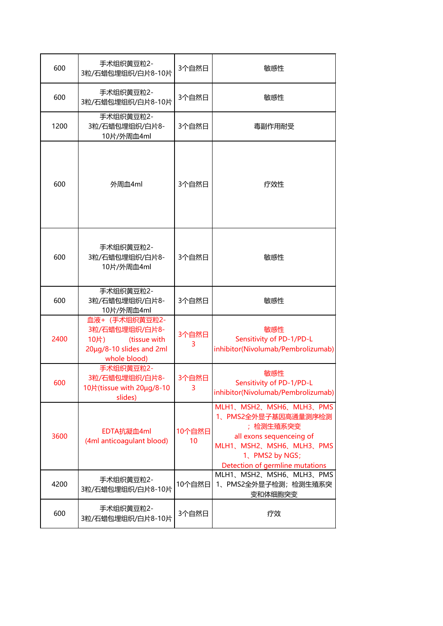| 600  | 手术组织黄豆粒2-<br>3粒/石蜡包埋组织/白片8-10片                                                                       | 3个自然日                     | 敏感性                                                                                                                                                                    |
|------|------------------------------------------------------------------------------------------------------|---------------------------|------------------------------------------------------------------------------------------------------------------------------------------------------------------------|
| 600  | 手术组织黄豆粒2-<br>3粒/石蜡包埋组织/白片8-10片                                                                       | 3个自然日                     | 敏感性                                                                                                                                                                    |
| 1200 | 手术组织黄豆粒2-<br>3粒/石蜡包埋组织/白片8-<br>10片/外周血4ml                                                            | 3个自然日                     | 毒副作用耐受                                                                                                                                                                 |
| 600  | 外周血4ml                                                                                               | 3个自然日                     | 疗效性                                                                                                                                                                    |
| 600  | 手术组织黄豆粒2-<br>3粒/石蜡包埋组织/白片8-<br>10片/外周血4ml                                                            | 3个自然日                     | 敏感性                                                                                                                                                                    |
| 600  | 手术组织黄豆粒2-<br>3粒/石蜡包埋组织/白片8-<br>10片/外周血4ml                                                            | 3个自然日                     | 敏感性                                                                                                                                                                    |
| 2400 | 血液+ (手术组织黄豆粒2-<br>3粒/石蜡包埋组织/白片8-<br>10片)<br>(tissue with<br>20µg/8-10 slides and 2ml<br>whole blood) | 3个自然日<br>3                | 敏感性<br>Sensitivity of PD-1/PD-L<br>inhibitor(Nivolumab/Pembrolizumab)                                                                                                  |
| 600  | 手术组织黄豆粒2-<br>3粒/石蜡包埋组织/白片8-<br>10片(tissue with 20µg/8-10<br>slides)                                  | 3个自然日<br>3                | 敏感性<br>Sensitivity of PD-1/PD-L<br>inhibitor(Nivolumab/Pembrolizumab)                                                                                                  |
| 3600 | EDTA抗凝血4ml<br>(4ml anticoagulant blood)                                                              | 10个自然日<br>10 <sup>°</sup> | MLH1、MSH2、MSH6、MLH3、PMS<br>1、PMS2全外显子基因高通量测序检测<br>;检测生殖系突变<br>all exons sequenceing of<br>MLH1、MSH2、MSH6、MLH3、PMS<br>1、PMS2 by NGS;<br>Detection of germline mutations |
| 4200 | 手术组织黄豆粒2-<br>3粒/石蜡包埋组织/白片8-10片                                                                       | 10个自然日                    | MLH1、MSH2、MSH6、MLH3、PMS<br>1、PMS2全外显子检测;检测生殖系突<br>变和体细胞突变                                                                                                              |
| 600  | 手术组织黄豆粒2-<br>3粒/石蜡包埋组织/白片8-10片                                                                       | 3个自然日                     | 疗效                                                                                                                                                                     |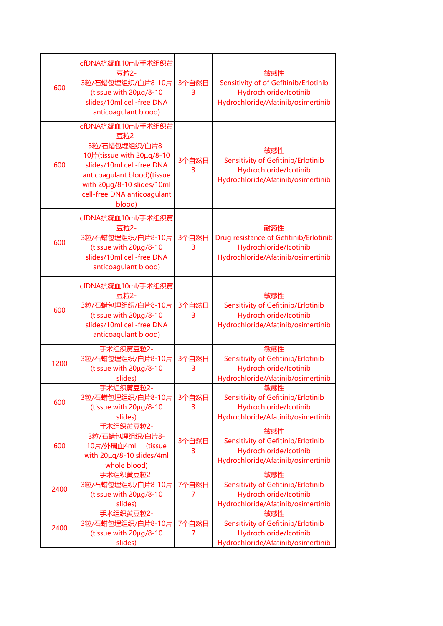| 600  | cfDNA抗凝血10ml/手术组织黄<br>豆粒2-<br>3粒/石蜡包埋组织/白片8-10片<br>(tissue with 20µg/8-10<br>slides/10ml cell-free DNA<br>anticoagulant blood)                                                                               | 3个自然日<br>3 | 敏感性<br>Sensitivity of of Gefitinib/Erlotinib<br>Hydrochloride/Icotinib<br>Hydrochloride/Afatinib/osimertinib  |
|------|--------------------------------------------------------------------------------------------------------------------------------------------------------------------------------------------------------------|------------|---------------------------------------------------------------------------------------------------------------|
| 600  | cfDNA抗凝血10ml/手术组织黄<br>豆粒2-<br>3粒/石蜡包埋组织/白片8-<br>10片(tissue with 20µg/8-10<br>slides/10ml cell-free DNA<br>anticoagulant blood)(tissue<br>with 20µg/8-10 slides/10ml<br>cell-free DNA anticoagulant<br>blood) | 3个自然日<br>3 | 敏感性<br>Sensitivity of Gefitinib/Erlotinib<br>Hydrochloride/Icotinib<br>Hydrochloride/Afatinib/osimertinib     |
| 600  | cfDNA抗凝血10ml/手术组织黄<br>豆粒2-<br>3粒/石蜡包埋组织/白片8-10片<br>(tissue with 20µg/8-10<br>slides/10ml cell-free DNA<br>anticoagulant blood)                                                                               | 3个自然日<br>3 | 耐药性<br>Drug resistance of Gefitinib/Erlotinib<br>Hydrochloride/Icotinib<br>Hydrochloride/Afatinib/osimertinib |
| 600  | cfDNA抗凝血10ml/手术组织黄<br>豆粒2-<br>3粒/石蜡包埋组织/白片8-10片<br>(tissue with 20µg/8-10<br>slides/10ml cell-free DNA<br>anticoagulant blood)                                                                               | 3个自然日<br>3 | 敏感性<br>Sensitivity of Gefitinib/Erlotinib<br>Hydrochloride/Icotinib<br>Hydrochloride/Afatinib/osimertinib     |
| 1200 | 手术组织黄豆粒2-<br>3粒/石蜡包埋组织/白片8-10片<br>(tissue with 20µg/8-10<br>slides)                                                                                                                                          | 3个自然日<br>3 | 敏感性<br>Sensitivity of Gefitinib/Erlotinib<br>Hydrochloride/Icotinib<br>Hydrochloride/Afatinib/osimertinib     |
| 600  | 手术组织黄豆粒2-<br>3粒/石蜡包埋组织/白片8-10片<br>(tissue with 20µg/8-10<br>slides)                                                                                                                                          | 3个自然日<br>3 | 敏感性<br>Sensitivity of Gefitinib/Erlotinib<br>Hydrochloride/Icotinib<br>Hydrochloride/Afatinib/osimertinib     |
| 600  | 手术组织黄豆粒2-<br>3粒/石蜡包埋组织/白片8-<br>10片/外周血4ml<br>(tissue<br>with 20µg/8-10 slides/4ml<br>whole blood)                                                                                                            | 3个自然日<br>3 | 敏感性<br>Sensitivity of Gefitinib/Erlotinib<br>Hydrochloride/Icotinib<br>Hydrochloride/Afatinib/osimertinib     |
| 2400 | 手术组织黄豆粒2-<br>3粒/石蜡包埋组织/白片8-10片<br>(tissue with 20µg/8-10<br>slides)                                                                                                                                          | 7个自然日<br>7 | 敏感性<br>Sensitivity of Gefitinib/Erlotinib<br>Hydrochloride/Icotinib<br>Hydrochloride/Afatinib/osimertinib     |
| 2400 | 手术组织黄豆粒2-<br>3粒/石蜡包埋组织/白片8-10片<br>(tissue with 20µg/8-10<br>slides)                                                                                                                                          | 7个自然日<br>7 | 敏感性<br>Sensitivity of Gefitinib/Erlotinib<br>Hydrochloride/Icotinib<br>Hydrochloride/Afatinib/osimertinib     |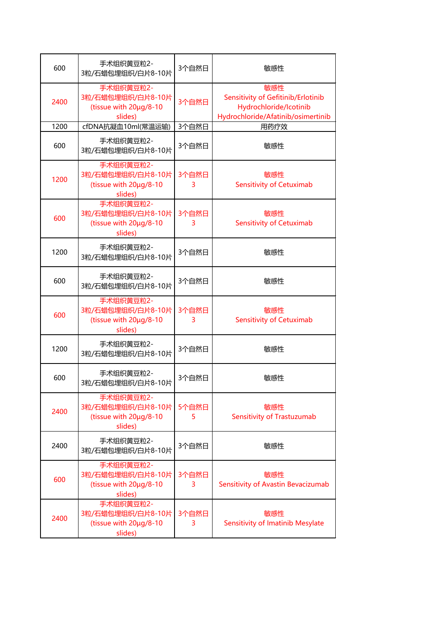| 600  | 手术组织黄豆粒2-<br>3粒/石蜡包埋组织/白片8-10片                                      | 3个自然日       | 敏感性                                                                                                       |
|------|---------------------------------------------------------------------|-------------|-----------------------------------------------------------------------------------------------------------|
| 2400 | 手术组织黄豆粒2-<br>3粒/石蜡包埋组织/白片8-10片<br>(tissue with 20µg/8-10<br>slides) | 3个自然日       | 敏感性<br>Sensitivity of Gefitinib/Erlotinib<br>Hydrochloride/Icotinib<br>Hydrochloride/Afatinib/osimertinib |
| 1200 | cfDNA抗凝血10ml(常温运输)                                                  | 3个自然日       | 用药疗效                                                                                                      |
| 600  | 手术组织黄豆粒2-<br>3粒/石蜡包埋组织/白片8-10片                                      | 3个自然日       | 敏感性                                                                                                       |
| 1200 | 手术组织黄豆粒2-<br>3粒/石蜡包埋组织/白片8-10片<br>(tissue with 20µg/8-10<br>slides) | 3个自然日<br>3  | 敏感性<br><b>Sensitivity of Cetuximab</b>                                                                    |
| 600  | 手术组织黄豆粒2-<br>3粒/石蜡包埋组织/白片8-10片<br>(tissue with 20µg/8-10<br>slides) | 3个自然日<br>3  | 敏感性<br><b>Sensitivity of Cetuximab</b>                                                                    |
| 1200 | 手术组织黄豆粒2-<br>3粒/石蜡包埋组织/白片8-10片                                      | 3个自然日       | 敏感性                                                                                                       |
| 600  | 手术组织黄豆粒2-<br>3粒/石蜡包埋组织/白片8-10片                                      | 3个自然日       | 敏感性                                                                                                       |
| 600  | 手术组织黄豆粒2-<br>3粒/石蜡包埋组织/白片8-10片<br>(tissue with 20µg/8-10<br>slides) | 3个自然日<br>3  | 敏感性<br><b>Sensitivity of Cetuximab</b>                                                                    |
| 1200 | 手术组织黄豆粒2-<br>3粒/石蜡包埋组织/白片8-10片                                      | 3个自然日       | 敏感性                                                                                                       |
| 600  | 手术组织黄豆粒2-<br>3粒/石蜡包埋组织/白片8-10片                                      | 3个自然日       | 敏感性                                                                                                       |
| 2400 | 手术组织黄豆粒2-<br>3粒/石蜡包埋组织/白片8-10片<br>(tissue with 20µg/8-10<br>slides) | 5个自然日<br>5. | 敏感性<br>Sensitivity of Trastuzumab                                                                         |
| 2400 | 手术组织黄豆粒2-<br>3粒/石蜡包埋组织/白片8-10片                                      | 3个自然日       | 敏感性                                                                                                       |
| 600  | 手术组织黄豆粒2-<br>3粒/石蜡包埋组织/白片8-10片<br>(tissue with 20µg/8-10<br>slides) | 3个自然日<br>3. | 敏感性<br>Sensitivity of Avastin Bevacizumab                                                                 |
| 2400 | 手术组织黄豆粒2-<br>3粒/石蜡包埋组织/白片8-10片<br>(tissue with 20µg/8-10<br>slides) | 3个自然日<br>3  | 敏感性<br>Sensitivity of Imatinib Mesylate                                                                   |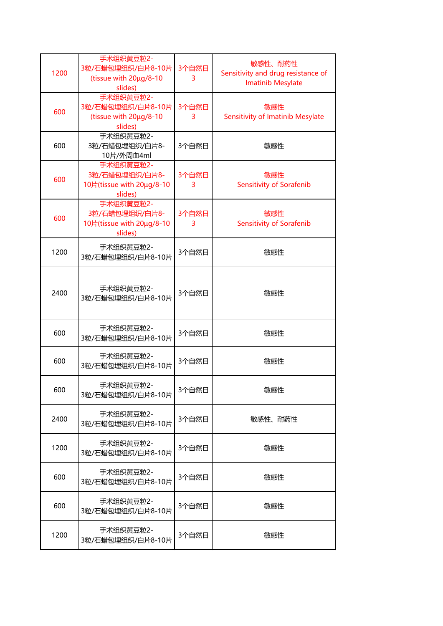| 1200 | 手术组织黄豆粒2-<br>3粒/石蜡包埋组织/白片8-10片<br>(tissue with 20µg/8-10<br>slides) | 3个自然日<br>3 | 敏感性、耐药性<br>Sensitivity and drug resistance of<br><b>Imatinib Mesylate</b> |
|------|---------------------------------------------------------------------|------------|---------------------------------------------------------------------------|
| 600  | 手术组织黄豆粒2-<br>3粒/石蜡包埋组织/白片8-10片<br>(tissue with 20µg/8-10<br>slides) | 3个自然日<br>3 | 敏感性<br><b>Sensitivity of Imatinib Mesylate</b>                            |
| 600  | 手术组织黄豆粒2-<br>3粒/石蜡包埋组织/白片8-<br>10片/外周血4ml                           | 3个自然日      | 敏感性                                                                       |
| 600  | 手术组织黄豆粒2-<br>3粒/石蜡包埋组织/白片8-<br>10片(tissue with 20µg/8-10<br>slides) | 3个自然日<br>3 | 敏感性<br><b>Sensitivity of Sorafenib</b>                                    |
| 600  | 手术组织黄豆粒2-<br>3粒/石蜡包埋组织/白片8-<br>10片(tissue with 20µg/8-10<br>slides) | 3个自然日<br>3 | 敏感性<br><b>Sensitivity of Sorafenib</b>                                    |
| 1200 | 手术组织黄豆粒2-<br>3粒/石蜡包埋组织/白片8-10片                                      | 3个自然日      | 敏感性                                                                       |
| 2400 | 手术组织黄豆粒2-<br>3粒/石蜡包埋组织/白片8-10片                                      | 3个自然日      | 敏感性                                                                       |
| 600  | 手术组织黄豆粒2-<br>3粒/石蜡包埋组织/白片8-10片                                      | 3个自然日      | 敏感性                                                                       |
| 600  | 手术组织黄豆粒2-<br>3粒/石蜡包埋组织/白片8-10片                                      | 3个自然日      | 敏感性                                                                       |
| 600  | 手术组织黄豆粒2-<br>3粒/石蜡包埋组织/白片8-10片                                      | 3个自然日      | 敏感性                                                                       |
| 2400 | 手术组织黄豆粒2-<br>3粒/石蜡包埋组织/白片8-10片                                      | 3个自然日      | 敏感性、耐药性                                                                   |
| 1200 | 手术组织黄豆粒2-<br>3粒/石蜡包埋组织/白片8-10片                                      | 3个自然日      | 敏感性                                                                       |
| 600  | 手术组织黄豆粒2-<br>3粒/石蜡包埋组织/白片8-10片                                      | 3个自然日      | 敏感性                                                                       |
| 600  | 手术组织黄豆粒2-<br>3粒/石蜡包埋组织/白片8-10片                                      | 3个自然日      | 敏感性                                                                       |
| 1200 | 手术组织黄豆粒2-<br>3粒/石蜡包埋组织/白片8-10片                                      | 3个自然日      | 敏感性                                                                       |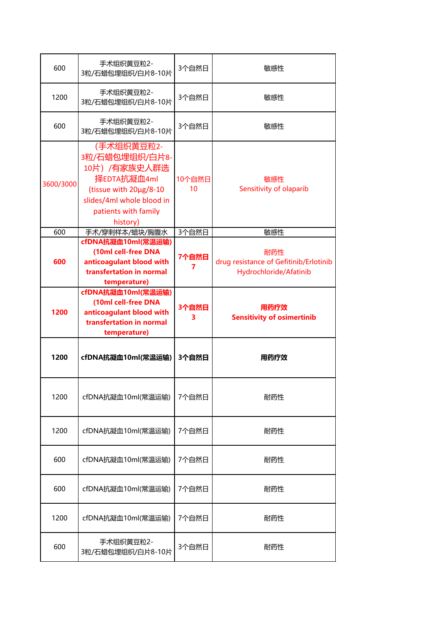| 600       | 手术组织黄豆粒2-<br>3粒/石蜡包埋组织/白片8-10片                                                                                                                          | 3个自然日        | 敏感性                                                                     |
|-----------|---------------------------------------------------------------------------------------------------------------------------------------------------------|--------------|-------------------------------------------------------------------------|
| 1200      | 手术组织黄豆粒2-<br>3粒/石蜡包埋组织/白片8-10片                                                                                                                          | 3个自然日        | 敏感性                                                                     |
| 600       | 手术组织黄豆粒2-<br>3粒/石蜡包埋组织/白片8-10片                                                                                                                          | 3个自然日        | 敏感性                                                                     |
| 3600/3000 | (手术组织黄豆粒2-<br>3粒/石蜡包埋组织/白片8-<br>10片) /有家族史人群选<br>择EDTA抗凝血4ml<br>(tissue with 20µg/8-10<br>slides/4ml whole blood in<br>patients with family<br>history) | 10个自然日<br>10 | 敏感性<br>Sensitivity of olaparib                                          |
| 600       | 手术/穿刺样本/蜡块/胸腹水                                                                                                                                          | 3个自然日        | 敏感性                                                                     |
| 600       | cfDNA抗凝血10ml(常温运输)<br>(10ml cell-free DNA<br>anticoagulant blood with<br>transfertation in normal<br>temperature)                                       | 7个自然日        | 耐药性<br>drug resistance of Gefitinib/Erlotinib<br>Hydrochloride/Afatinib |
| 1200      | cfDNA抗凝血10ml(常温运输)<br>(10ml cell-free DNA<br>anticoagulant blood with<br>transfertation in normal<br>temperature)                                       | 3个自然日<br>3   | 用药疗效<br><b>Sensitivity of osimertinib</b>                               |
| 1200      | cfDNA抗凝血10ml(常温运输)                                                                                                                                      | 3个自然日        | 用药疗效                                                                    |
| 1200      | cfDNA抗凝血10ml(常温运输)                                                                                                                                      | 7个自然日        | 耐药性                                                                     |
| 1200      | cfDNA抗凝血10ml(常温运输)                                                                                                                                      | 7个自然日        | 耐药性                                                                     |
| 600       | cfDNA抗凝血10ml(常温运输)                                                                                                                                      | 7个自然日        | 耐药性                                                                     |
| 600       | cfDNA抗凝血10ml(常温运输)                                                                                                                                      | 7个自然日        | 耐药性                                                                     |
| 1200      | cfDNA抗凝血10ml(常温运输)                                                                                                                                      | 7个自然日        | 耐药性                                                                     |
| 600       | 手术组织黄豆粒2-<br>3粒/石蜡包埋组织/白片8-10片                                                                                                                          | 3个自然日        | 耐药性                                                                     |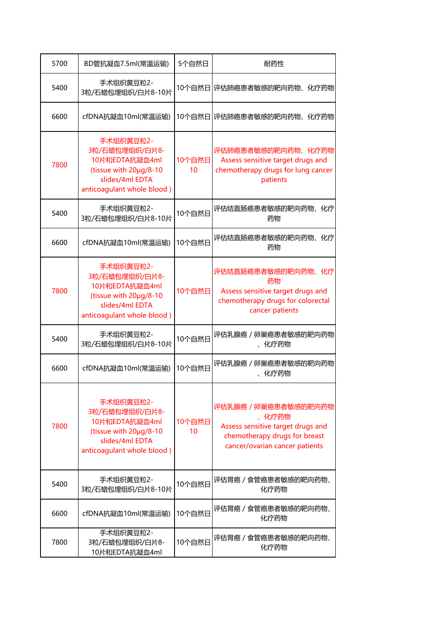| 5700 | BD管抗凝血7.5ml(常温运输)                                                                                                        | 5个自然日                     | 耐药性                                                                                                                                   |
|------|--------------------------------------------------------------------------------------------------------------------------|---------------------------|---------------------------------------------------------------------------------------------------------------------------------------|
| 5400 | 手术组织黄豆粒2-<br>3粒/石蜡包埋组织/白片8-10片                                                                                           |                           | 10个自然日 评估肺癌患者敏感的靶向药物、化疗药物                                                                                                             |
| 6600 | cfDNA抗凝血10ml(常温运输)                                                                                                       |                           | 10个自然日 评估肺癌患者敏感的靶向药物、化疗药物                                                                                                             |
| 7800 | 手术组织黄豆粒2-<br>3粒/石蜡包埋组织/白片8-<br>10片和EDTA抗凝血4ml<br>(tissue with 20µg/8-10<br>slides/4ml EDTA<br>anticoagulant whole blood) | 10个自然日<br>10 <sup>°</sup> | 评估肺癌患者敏感的靶向药物、化疗药物<br>Assess sensitive target drugs and<br>chemotherapy drugs for lung cancer<br>patients                             |
| 5400 | 手术组织黄豆粒2-<br>3粒/石蜡包埋组织/白片8-10片                                                                                           | 10个自然日                    | 评估结直肠癌患者敏感的靶向药物、化疗<br>药物                                                                                                              |
| 6600 | cfDNA抗凝血10ml(常温运输)                                                                                                       | 10个自然日                    | 评估结直肠癌患者敏感的靶向药物、化疗<br>药物                                                                                                              |
| 7800 | 手术组织黄豆粒2-<br>3粒/石蜡包埋组织/白片8-<br>10片和EDTA抗凝血4ml<br>(tissue with 20µg/8-10<br>slides/4ml EDTA<br>anticoagulant whole blood) | 10个自然日                    | 评估结直肠癌患者敏感的靶向药物、化疗<br>药物<br>Assess sensitive target drugs and<br>chemotherapy drugs for colorectal<br>cancer patients                 |
| 5400 | 手术组织黄豆粒2-<br>3粒/石蜡包埋组织/白片8-10片                                                                                           | 10个自然日                    | 评估乳腺癌 / 卵巢癌患者敏感的靶向药物<br>、化疗药物                                                                                                         |
| 6600 | cfDNA抗凝血10ml(常温运输)                                                                                                       | 10个自然日                    | 评估乳腺癌 / 卵巢癌患者敏感的靶向药物<br>、化疗药物                                                                                                         |
| 7800 | 手术组织黄豆粒2-<br>3粒/石蜡包埋组织/白片8-<br>10片和EDTA抗凝血4ml<br>(tissue with 20µg/8-10<br>slides/4ml EDTA<br>anticoagulant whole blood) | 10个自然日<br>10              | 评估乳腺癌 / 卵巢癌患者敏感的靶向药物<br>、化疗药物<br>Assess sensitive target drugs and<br>chemotherapy drugs for breast<br>cancer/ovarian cancer patients |
| 5400 | 手术组织黄豆粒2-<br>3粒/石蜡包埋组织/白片8-10片                                                                                           | 10个自然日                    | 评估胃癌 / 食管癌患者敏感的靶向药物、<br>化疗药物                                                                                                          |
| 6600 | cfDNA抗凝血10ml(常温运输)                                                                                                       | 10个自然日                    | 评估胃癌 / 食管癌患者敏感的靶向药物、<br>化疗药物                                                                                                          |
| 7800 | 手术组织黄豆粒2-<br>3粒/石蜡包埋组织/白片8-<br>10片和EDTA抗凝血4ml                                                                            | 10个自然日                    | 评估胃癌 / 食管癌患者敏感的靶向药物、<br>化疗药物                                                                                                          |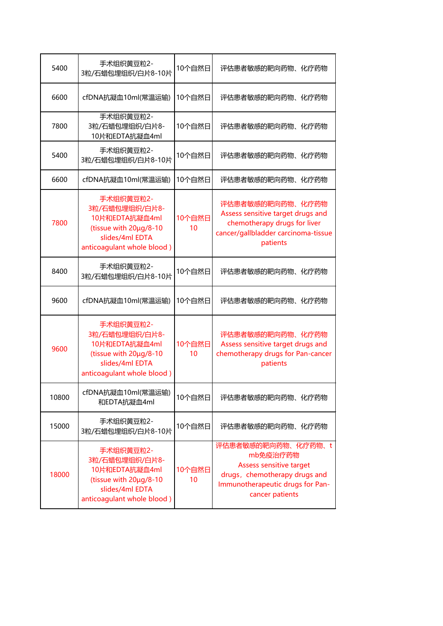| 5400  | 手术组织黄豆粒2-<br>3粒/石蜡包埋组织/白片8-10片                                                                                           | 10个自然日       | 评估患者敏感的靶向药物、化疗药物                                                                                                                                         |
|-------|--------------------------------------------------------------------------------------------------------------------------|--------------|----------------------------------------------------------------------------------------------------------------------------------------------------------|
| 6600  | cfDNA抗凝血10ml(常温运输)                                                                                                       | 10个自然日       | 评估患者敏感的靶向药物、化疗药物                                                                                                                                         |
| 7800  | 手术组织黄豆粒2-<br>3粒/石蜡包埋组织/白片8-<br>10片和EDTA抗凝血4ml                                                                            | 10个自然日       | 评估患者敏感的靶向药物、<br>化疗药物                                                                                                                                     |
| 5400  | 手术组织黄豆粒2-<br>3粒/石蜡包埋组织/白片8-10片                                                                                           | 10个自然日       | 评估患者敏感的靶向药物、化疗药物                                                                                                                                         |
| 6600  | cfDNA抗凝血10ml(常温运输)                                                                                                       | 10个自然日       | 评估患者敏感的靶向药物、<br>化疗药物                                                                                                                                     |
| 7800  | 手术组织黄豆粒2-<br>3粒/石蜡包埋组织/白片8-<br>10片和EDTA抗凝血4ml<br>(tissue with 20µg/8-10<br>slides/4ml EDTA<br>anticoagulant whole blood) | 10个自然日<br>10 | 评估患者敏感的靶向药物、化疗药物<br>Assess sensitive target drugs and<br>chemotherapy drugs for liver<br>cancer/gallbladder carcinoma-tissue<br>patients                 |
| 8400  | 手术组织黄豆粒2-<br>3粒/石蜡包埋组织/白片8-10片                                                                                           | 10个自然日       | 评估患者敏感的靶向药物、化疗药物                                                                                                                                         |
| 9600  | cfDNA抗凝血10ml(常温运输)                                                                                                       | 10个自然日       | 评估患者敏感的靶向药物、化疗药物                                                                                                                                         |
| 9600  | 手术组织黄豆粒2-<br>3粒/石蜡包埋组织/白片8-<br>10片和EDTA抗凝血4ml<br>(tissue with 20µg/8-10<br>slides/4ml EDTA<br>anticoagulant whole blood) | 10个自然日<br>10 | 评估患者敏感的靶向药物、化疗药物<br>Assess sensitive target drugs and<br>chemotherapy drugs for Pan-cancer<br>patients                                                   |
| 10800 | cfDNA抗凝血10ml(常温运输)<br>和EDTA抗凝血4ml                                                                                        | 10个自然日       | 评估患者敏感的靶向药物、化疗药物                                                                                                                                         |
| 15000 | 手术组织黄豆粒2-<br>3粒/石蜡包埋组织/白片8-10片                                                                                           | 10个自然日       | 评估患者敏感的靶向药物、化疗药物                                                                                                                                         |
| 18000 | 手术组织黄豆粒2-<br>3粒/石蜡包埋组织/白片8-<br>10片和EDTA抗凝血4ml<br>(tissue with 20µg/8-10<br>slides/4ml EDTA<br>anticoagulant whole blood) | 10个自然日<br>10 | 评估患者敏感的靶向药物、化疗药物、t<br>mb免疫治疗药物<br><b>Assess sensitive target</b><br>drugs, chemotherapy drugs and<br>Immunotherapeutic drugs for Pan-<br>cancer patients |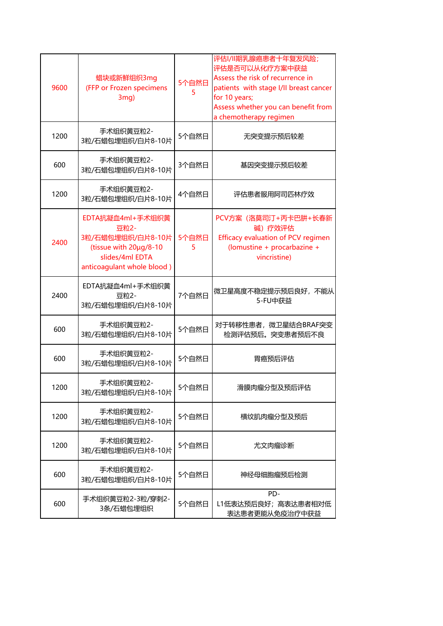| 9600 | 蜡块或新鲜组织3mg<br>(FFP or Frozen specimens<br>3mg)                                                                           | 5个自然日<br>5 | 评估I/II期乳腺癌患者十年复发风险;<br>评估是否可以从化疗方案中获益<br>Assess the risk of recurrence in<br>patients with stage I/II breast cancer<br>for 10 years;<br>Assess whether you can benefit from<br>a chemotherapy regimen |
|------|--------------------------------------------------------------------------------------------------------------------------|------------|-------------------------------------------------------------------------------------------------------------------------------------------------------------------------------------------------------|
| 1200 | 手术组织黄豆粒2-<br>3粒/石蜡包埋组织/白片8-10片                                                                                           | 5个自然日      | 无突变提示预后较差                                                                                                                                                                                             |
| 600  | 手术组织黄豆粒2-<br>3粒/石蜡包埋组织/白片8-10片                                                                                           | 3个自然日      | 基因突变提示预后较差                                                                                                                                                                                            |
| 1200 | 手术组织黄豆粒2-<br>3粒/石蜡包埋组织/白片8-10片                                                                                           | 4个自然日      | 评估患者服用阿司匹林疗效                                                                                                                                                                                          |
| 2400 | EDTA抗凝血4ml+手术组织黄<br>豆粒2-<br>3粒/石蜡包埋组织/白片8-10片<br>(tissue with 20µg/8-10<br>slides/4ml EDTA<br>anticoagulant whole blood) | 5个自然日<br>5 | PCV方案 (洛莫司汀+丙卡巴肼+长春新<br>碱) 疗效评估<br>Efficacy evaluation of PCV regimen<br>(lomustine + procarbazine +<br>vincristine)                                                                                  |
| 2400 | EDTA抗凝血4ml+手术组织黄<br>豆粒2-<br>3粒/石蜡包埋组织/白片8-10片                                                                            | 7个自然日      | 微卫星高度不稳定提示预后良好,不能从<br>5-FU中获益                                                                                                                                                                         |
| 600  | 手术组织黄豆粒2-<br>3粒/石蜡包埋组织/白片8-10片                                                                                           | 5个自然日      | 对于转移性患者, 微卫星结合BRAF突变<br>检测评估预后。突变患者预后不良                                                                                                                                                               |
| 600  | 手术组织黄豆粒2-<br>3粒/石蜡包埋组织/白片8-10片                                                                                           | 5个自然日      | 胃癌预后评估                                                                                                                                                                                                |
| 1200 | 手术组织黄豆粒2-<br>3粒/石蜡包埋组织/白片8-10片                                                                                           | 5个自然日      | 滑膜肉瘤分型及预后评估                                                                                                                                                                                           |
| 1200 | 手术组织黄豆粒2-<br>3粒/石蜡包埋组织/白片8-10片                                                                                           | 5个自然日      | 横纹肌肉瘤分型及预后                                                                                                                                                                                            |
| 1200 | 手术组织黄豆粒2-<br>3粒/石蜡包埋组织/白片8-10片                                                                                           | 5个自然日      | 尤文肉瘤诊断                                                                                                                                                                                                |
| 600  | 手术组织黄豆粒2-<br>3粒/石蜡包埋组织/白片8-10片                                                                                           | 5个自然日      | 神经母细胞瘤预后检测                                                                                                                                                                                            |
| 600  | 手术组织黄豆粒2-3粒/穿刺2-<br>3条/石蜡包埋组织                                                                                            | 5个自然日      | PD-<br>L1低表达预后良好; 高表达患者相对低<br>表达患者更能从免疫治疗中获益                                                                                                                                                          |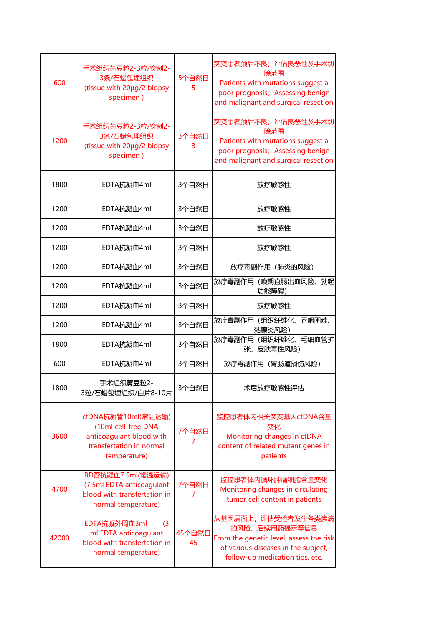| 600   | 手术组织黄豆粒2-3粒/穿刺2-<br>3条/石蜡包埋组织<br>(tissue with 20µg/2 biopsy<br>specimen)                                          | 5个自然日<br>5   | 突变患者预后不良;评估良恶性及手术切<br>除范围<br>Patients with mutations suggest a<br>poor prognosis; Assessing benign<br>and malignant and surgical resection               |
|-------|-------------------------------------------------------------------------------------------------------------------|--------------|----------------------------------------------------------------------------------------------------------------------------------------------------------|
| 1200  | 手术组织黄豆粒2-3粒/穿刺2-<br>3条/石蜡包埋组织<br>(tissue with 20µg/2 biopsy<br>specimen)                                          | 3个自然日<br>3   | 突变患者预后不良;评估良恶性及手术切<br>除范围<br>Patients with mutations suggest a<br>poor prognosis; Assessing benign<br>and malignant and surgical resection               |
| 1800  | EDTA抗凝血4ml                                                                                                        | 3个自然日        | 放疗敏感性                                                                                                                                                    |
| 1200  | EDTA抗凝血4ml                                                                                                        | 3个自然日        | 放疗敏感性                                                                                                                                                    |
| 1200  | EDTA抗凝血4ml                                                                                                        | 3个自然日        | 放疗敏感性                                                                                                                                                    |
| 1200  | EDTA抗凝血4ml                                                                                                        | 3个自然日        | 放疗敏感性                                                                                                                                                    |
| 1200  | EDTA抗凝血4ml                                                                                                        | 3个自然日        | 放疗毒副作用 (肺炎的风险)                                                                                                                                           |
| 1200  | EDTA抗凝血4ml                                                                                                        | 3个自然日        | 放疗毒副作用(晚期直肠出血风险、勃起<br>功能障碍)                                                                                                                              |
| 1200  | EDTA抗凝血4ml                                                                                                        | 3个自然日        | 放疗敏感性                                                                                                                                                    |
| 1200  | EDTA抗凝血4ml                                                                                                        | 3个自然日        | 放疗毒副作用(组织纤维化、吞咽困难、<br>黏膜炎风险)                                                                                                                             |
| 1800  | EDTA抗凝血4ml                                                                                                        | 3个自然日        | 放疗毒副作用(组织纤维化、毛细血管扩<br>张、皮肤毒性风险)                                                                                                                          |
| 600   | EDTA抗凝血4ml                                                                                                        | 3个自然日        | 放疗毒副作用 (胃肠道损伤风险)                                                                                                                                         |
| 1800  | 手术组织黄豆粒2-<br>3粒/石蜡包埋组织/白片8-10片                                                                                    | 3个自然日        | 术后放疗敏感性评估                                                                                                                                                |
| 3600  | cfDNA抗凝管10ml(常温运输)<br>(10ml cell-free DNA<br>anticoagulant blood with<br>transfertation in normal<br>temperature) | 7个自然日<br>7   | 监控患者体内相关突变基因ctDNA含量<br>变化<br>Monitoring changes in ctDNA<br>content of related mutant genes in<br>patients                                               |
| 4700  | BD管抗凝血7.5ml(常温运输)<br>(7.5ml EDTA anticoagulant<br>blood with transfertation in<br>normal temperature)             | 7个自然日<br>7   | 监控患者体内循环肿瘤细胞含量变化<br>Monitoring changes in circulating<br>tumor cell content in patients                                                                  |
| 42000 | EDTA抗凝外周血3ml<br>(3)<br>ml EDTA anticoagulant<br>blood with transfertation in<br>normal temperature)               | 45个自然日<br>45 | 从基因层面上,评估受检者发生各类疾病<br>的风险、后续用药提示等信息<br>From the genetic level, assess the risk<br>of various diseases in the subject,<br>follow-up medication tips, etc. |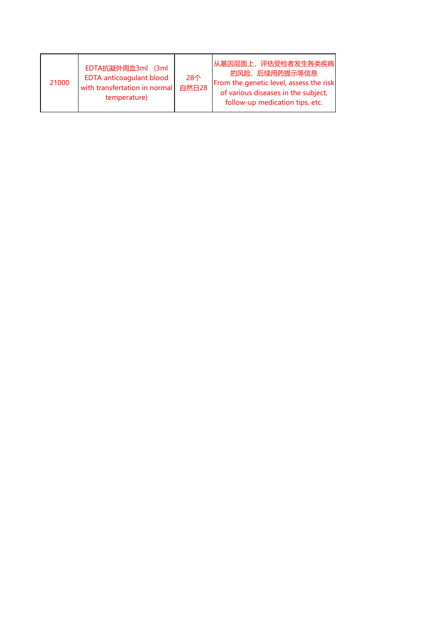| 21000 | EDTA抗凝外周血3ml (3ml<br><b>EDTA anticoagulant blood</b><br>with transfertation in normal<br>temperature) | 28个<br>自然日28 | 从基因层面上, 评估受检者发生各类疾病<br>的风险、后续用药提示等信息<br>From the genetic level, assess the risk<br>of various diseases in the subject,<br>follow-up medication tips, etc. |
|-------|-------------------------------------------------------------------------------------------------------|--------------|-----------------------------------------------------------------------------------------------------------------------------------------------------------|
|-------|-------------------------------------------------------------------------------------------------------|--------------|-----------------------------------------------------------------------------------------------------------------------------------------------------------|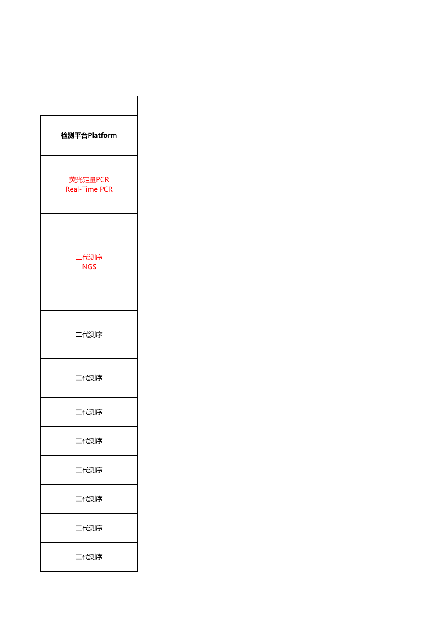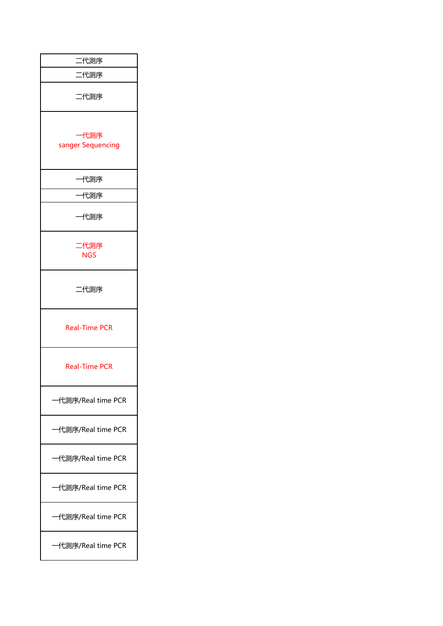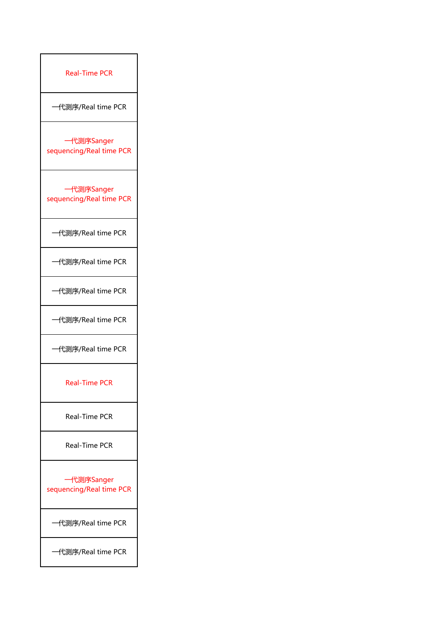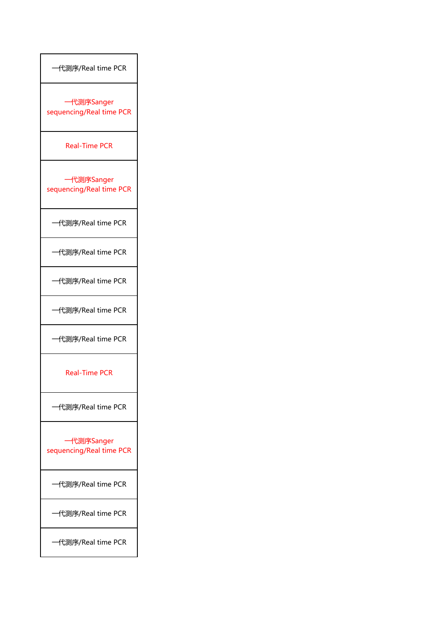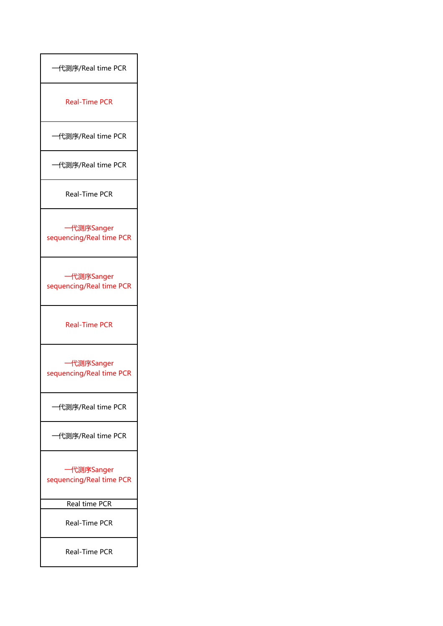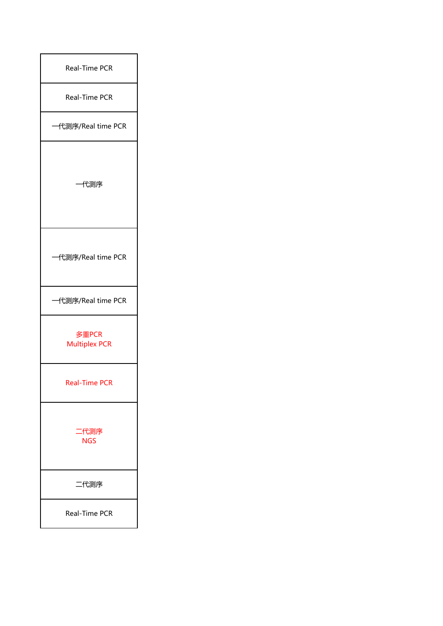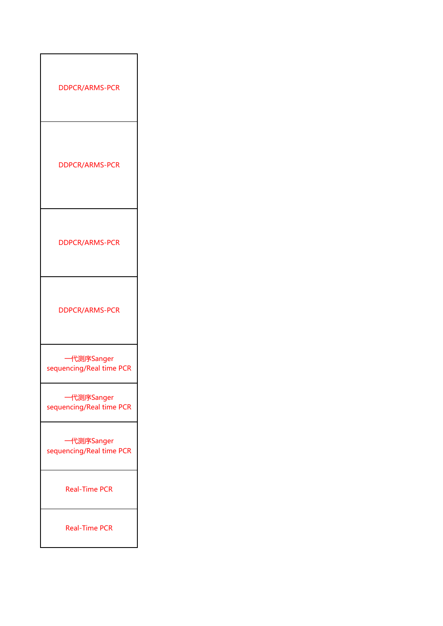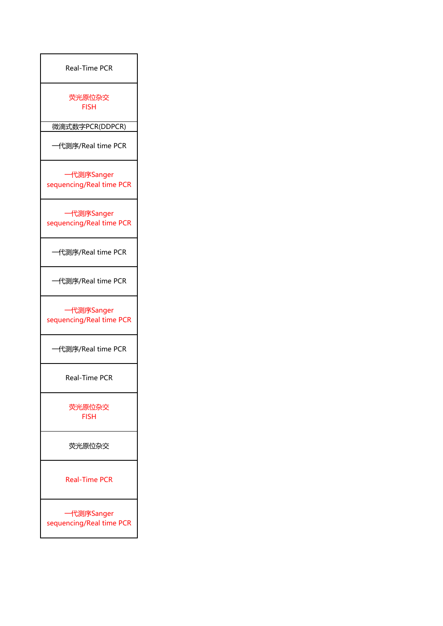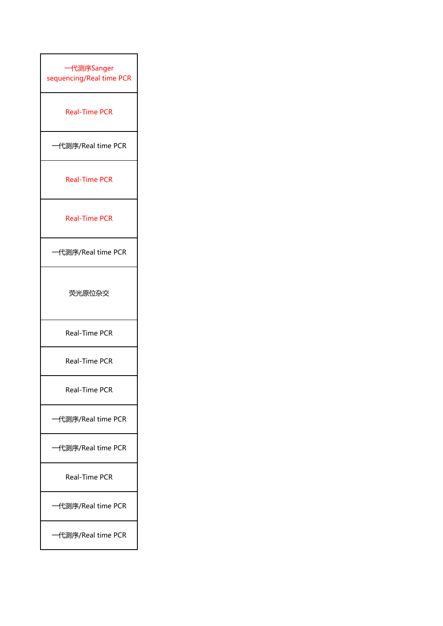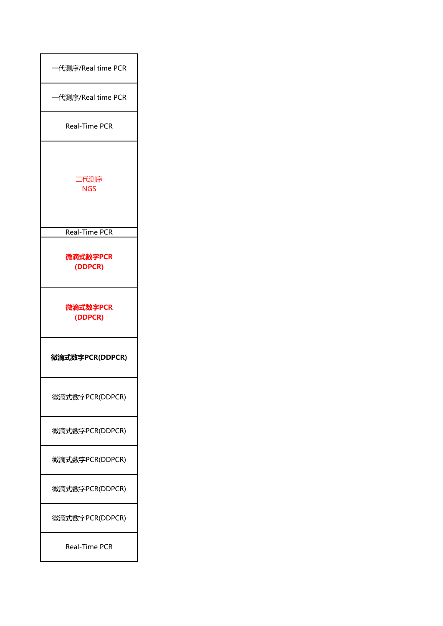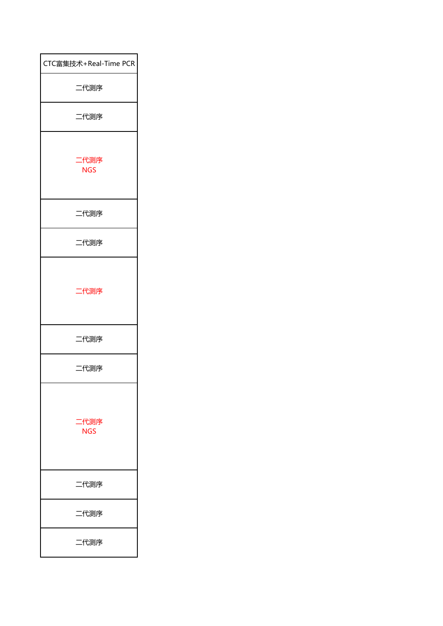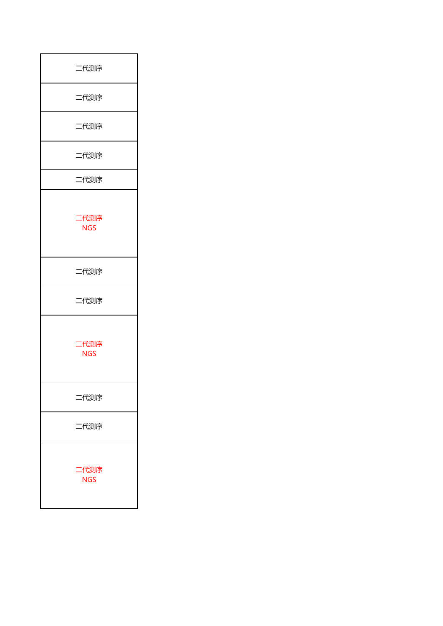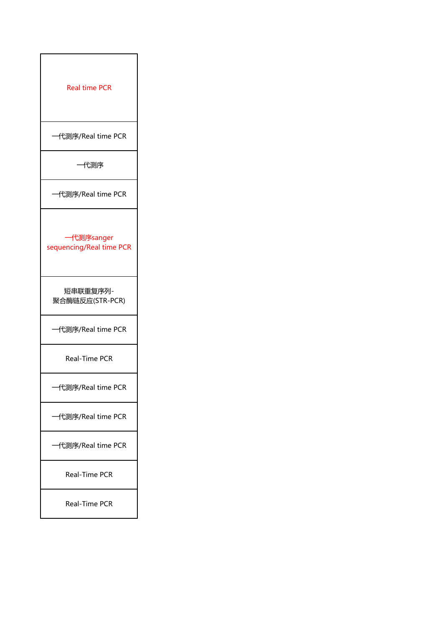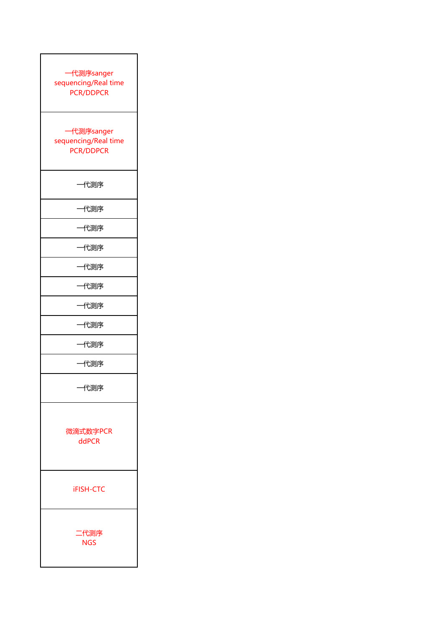| 代测序sanger<br>sequencing/Real time<br><b>PCR/DDPCR</b> |  |
|-------------------------------------------------------|--|
| 一代测序sanger<br>sequencing/Real time<br>PCR/DDPCR       |  |
| 一代测序                                                  |  |
| 代测序                                                   |  |
| 一代测序                                                  |  |
| 一代测序                                                  |  |
| 代测序                                                   |  |
| 代测序                                                   |  |
| 代测序                                                   |  |
| 代测序                                                   |  |
| 一代测序                                                  |  |
| 代测序                                                   |  |
| 一代测序                                                  |  |
| 微滴式数字PCR<br>ddPCR                                     |  |
| <b>iFISH-CTC</b>                                      |  |
| 二代测序<br><b>NGS</b>                                    |  |